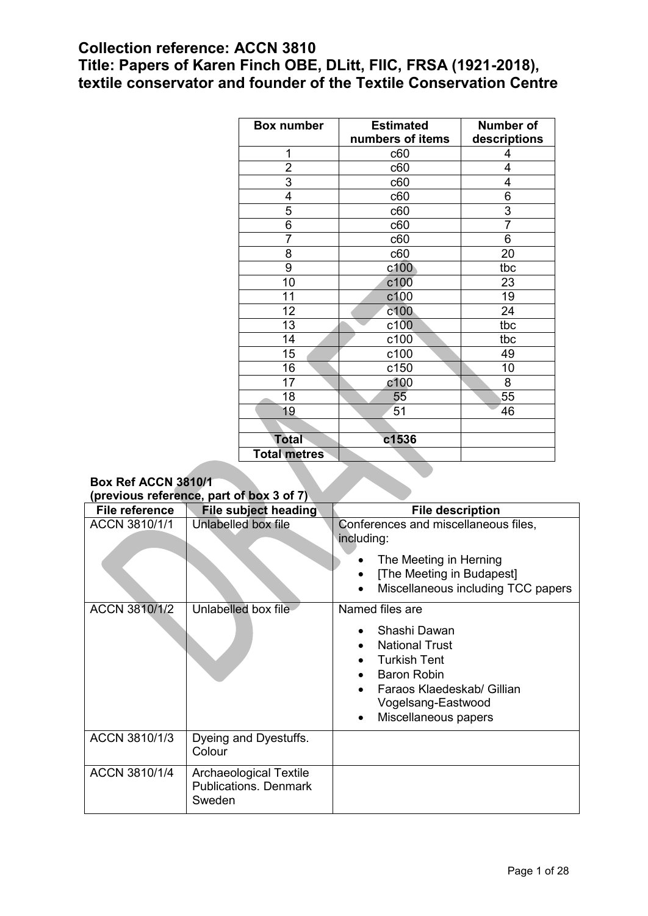| <b>Box number</b>   | <b>Estimated</b><br>numbers of items | Number of<br>descriptions |
|---------------------|--------------------------------------|---------------------------|
| 1                   | c60                                  | 4                         |
| $\overline{c}$      | c60                                  | 4                         |
| 3                   | c60                                  | 4                         |
| 4                   | c60                                  | 6                         |
| 5                   | c60                                  | 3                         |
| $\overline{6}$      | c60                                  | $\overline{7}$            |
| 7                   | c60                                  | 6                         |
| 8                   | c60                                  | 20                        |
| 9                   | c100                                 | tbc                       |
| 10                  | c100                                 | 23                        |
| 11                  | c100                                 | 19                        |
| 12                  | c100                                 | 24                        |
| 13                  | c100                                 | tbc                       |
| 14                  | c100                                 | tbc                       |
| 15                  | c100                                 | 49                        |
| 16                  | c150                                 | 10                        |
| 17                  | c100                                 | 8                         |
| 18                  | 55                                   | 55                        |
| 19                  | 51                                   | 46                        |
|                     |                                      |                           |
| <b>Total</b>        | c1536                                |                           |
| <b>Total metres</b> |                                      |                           |

 $\mathbf{v}$ 

#### **Box Ref ACCN 3810/1 (previous reference, part of box 3 of 7)**

| <b>File reference</b> | $\mu$ over the critical part of box 3 or $\mu$<br><b>File subject heading</b> | <b>File description</b>                                                                                                                                        |
|-----------------------|-------------------------------------------------------------------------------|----------------------------------------------------------------------------------------------------------------------------------------------------------------|
| ACCN 3810/1/1         | Unlabelled box file                                                           | Conferences and miscellaneous files,<br>including:                                                                                                             |
|                       |                                                                               | The Meeting in Herning<br>[The Meeting in Budapest]<br>$\bullet$<br>Miscellaneous including TCC papers                                                         |
| ACCN 3810/1/2         | Unlabelled box file                                                           | Named files are                                                                                                                                                |
|                       |                                                                               | Shashi Dawan<br><b>National Trust</b><br><b>Turkish Tent</b><br><b>Baron Robin</b><br>Faraos Klaedeskab/ Gillian<br>Vogelsang-Eastwood<br>Miscellaneous papers |
| ACCN 3810/1/3         | Dyeing and Dyestuffs.<br>Colour                                               |                                                                                                                                                                |
| ACCN 3810/1/4         | <b>Archaeological Textile</b><br><b>Publications. Denmark</b><br>Sweden       |                                                                                                                                                                |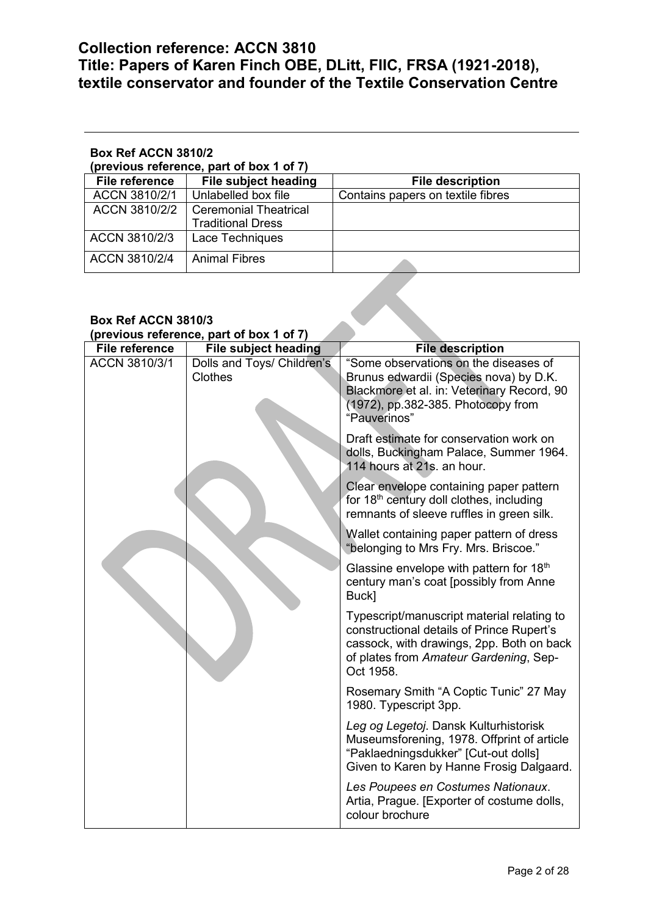#### **Box Ref ACCN 3810/2 (previous reference, part of box 1 of 7)**

| INIGVIUUS I GIGI GIIUG. DAI LUI DUA I UI <i>I</i> J |                              |                                   |
|-----------------------------------------------------|------------------------------|-----------------------------------|
| <b>File reference</b>                               | File subject heading         | <b>File description</b>           |
| ACCN 3810/2/1                                       | Unlabelled box file          | Contains papers on textile fibres |
| ACCN 3810/2/2                                       | <b>Ceremonial Theatrical</b> |                                   |
|                                                     | <b>Traditional Dress</b>     |                                   |
| ACCN 3810/2/3                                       | Lace Techniques              |                                   |
| ACCN 3810/2/4                                       | <b>Animal Fibres</b>         |                                   |

#### **Box Ref ACCN 3810/3 (previous reference, part of box 1 of 7)**

| (previous reference, part of box 1 of 7) |                                       |                                                                                                                                                                                             |
|------------------------------------------|---------------------------------------|---------------------------------------------------------------------------------------------------------------------------------------------------------------------------------------------|
| <b>File reference</b>                    | File subject heading                  | <b>File description</b>                                                                                                                                                                     |
| ACCN 3810/3/1                            | Dolls and Toys/ Children's<br>Clothes | "Some observations on the diseases of<br>Brunus edwardii (Species nova) by D.K.<br>Blackmore et al. in: Veterinary Record, 90<br>(1972), pp.382-385. Photocopy from<br>"Pauverinos"         |
|                                          |                                       | Draft estimate for conservation work on<br>dolls, Buckingham Palace, Summer 1964.<br>114 hours at 21s, an hour.                                                                             |
|                                          |                                       | Clear envelope containing paper pattern<br>for 18 <sup>th</sup> century doll clothes, including<br>remnants of sleeve ruffles in green silk.                                                |
|                                          |                                       | Wallet containing paper pattern of dress<br>"belonging to Mrs Fry. Mrs. Briscoe."                                                                                                           |
|                                          |                                       | Glassine envelope with pattern for 18th<br>century man's coat [possibly from Anne<br>Buck]                                                                                                  |
|                                          |                                       | Typescript/manuscript material relating to<br>constructional details of Prince Rupert's<br>cassock, with drawings, 2pp. Both on back<br>of plates from Amateur Gardening, Sep-<br>Oct 1958. |
|                                          |                                       | Rosemary Smith "A Coptic Tunic" 27 May<br>1980. Typescript 3pp.                                                                                                                             |
|                                          |                                       | Leg og Legetoj. Dansk Kulturhistorisk<br>Museumsforening, 1978. Offprint of article<br>"Paklaedningsdukker" [Cut-out dolls]<br>Given to Karen by Hanne Frosig Dalgaard.                     |
|                                          |                                       | Les Poupees en Costumes Nationaux.<br>Artia, Prague. [Exporter of costume dolls,<br>colour brochure                                                                                         |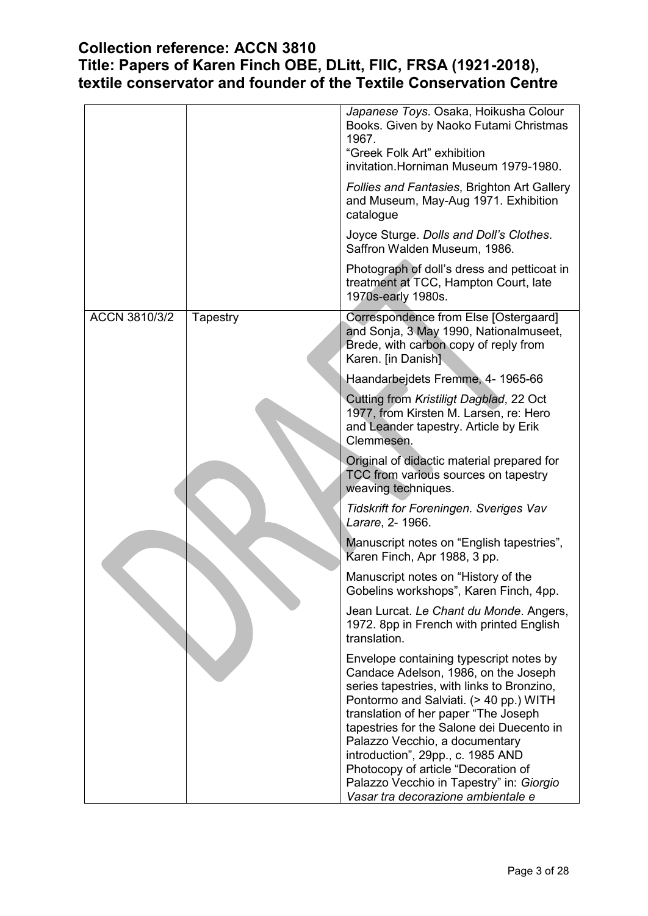|                           | Japanese Toys. Osaka, Hoikusha Colour<br>Books. Given by Naoko Futami Christmas<br>1967.<br>"Greek Folk Art" exhibition<br>invitation. Horniman Museum 1979-1980.<br>Follies and Fantasies, Brighton Art Gallery<br>and Museum, May-Aug 1971. Exhibition<br>catalogue<br>Joyce Sturge. Dolls and Doll's Clothes.<br>Saffron Walden Museum, 1986.<br>Photograph of doll's dress and petticoat in<br>treatment at TCC, Hampton Court, late                     |
|---------------------------|--------------------------------------------------------------------------------------------------------------------------------------------------------------------------------------------------------------------------------------------------------------------------------------------------------------------------------------------------------------------------------------------------------------------------------------------------------------|
|                           | 1970s-early 1980s.                                                                                                                                                                                                                                                                                                                                                                                                                                           |
| ACCN 3810/3/2<br>Tapestry | Correspondence from Else [Ostergaard]<br>and Sonja, 3 May 1990, Nationalmuseet,<br>Brede, with carbon copy of reply from<br>Karen. [in Danish]                                                                                                                                                                                                                                                                                                               |
|                           | Haandarbejdets Fremme, 4- 1965-66                                                                                                                                                                                                                                                                                                                                                                                                                            |
|                           | Cutting from Kristiligt Dagblad, 22 Oct<br>1977, from Kirsten M. Larsen, re: Hero<br>and Leander tapestry. Article by Erik<br>Clemmesen.                                                                                                                                                                                                                                                                                                                     |
|                           | Original of didactic material prepared for<br>TCC from various sources on tapestry<br>weaving techniques.                                                                                                                                                                                                                                                                                                                                                    |
|                           | <b>Tidskrift for Foreningen. Sveriges Vav</b><br>Larare, 2-1966.                                                                                                                                                                                                                                                                                                                                                                                             |
|                           | Manuscript notes on "English tapestries",<br>Karen Finch, Apr 1988, 3 pp.                                                                                                                                                                                                                                                                                                                                                                                    |
|                           | Manuscript notes on "History of the<br>Gobelins workshops", Karen Finch, 4pp.                                                                                                                                                                                                                                                                                                                                                                                |
|                           | Jean Lurcat. Le Chant du Monde. Angers,<br>1972. 8pp in French with printed English<br>translation.                                                                                                                                                                                                                                                                                                                                                          |
|                           | Envelope containing typescript notes by<br>Candace Adelson, 1986, on the Joseph<br>series tapestries, with links to Bronzino,<br>Pontormo and Salviati. (> 40 pp.) WITH<br>translation of her paper "The Joseph<br>tapestries for the Salone dei Duecento in<br>Palazzo Vecchio, a documentary<br>introduction", 29pp., c. 1985 AND<br>Photocopy of article "Decoration of<br>Palazzo Vecchio in Tapestry" in: Giorgio<br>Vasar tra decorazione ambientale e |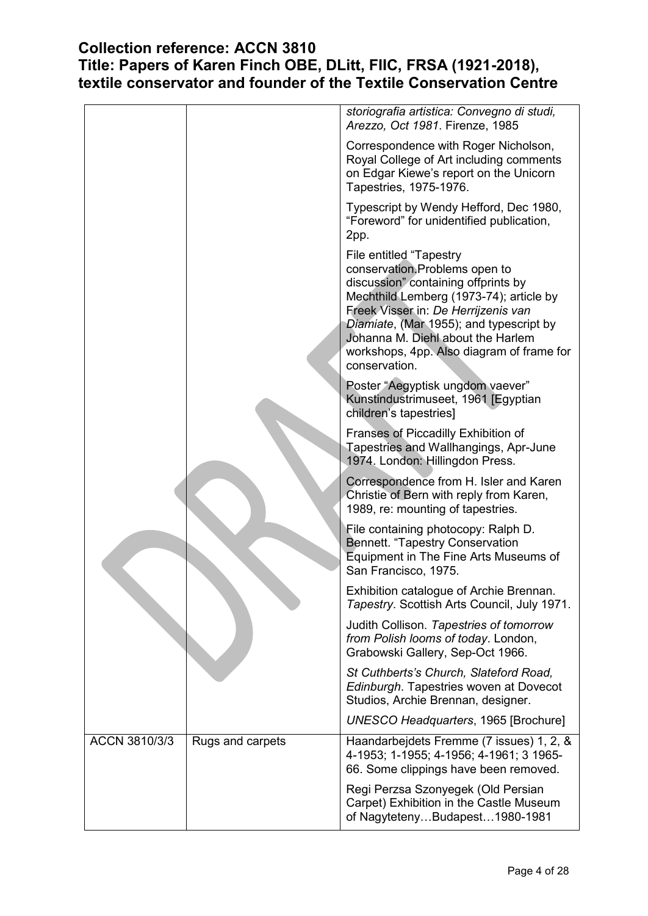|               |                  | storiografia artistica: Convegno di studi,<br>Arezzo, Oct 1981. Firenze, 1985                                                                                                                                                                                                                                                    |
|---------------|------------------|----------------------------------------------------------------------------------------------------------------------------------------------------------------------------------------------------------------------------------------------------------------------------------------------------------------------------------|
|               |                  | Correspondence with Roger Nicholson,<br>Royal College of Art including comments<br>on Edgar Kiewe's report on the Unicorn<br>Tapestries, 1975-1976.                                                                                                                                                                              |
|               |                  | Typescript by Wendy Hefford, Dec 1980,<br>"Foreword" for unidentified publication,<br>2pp.                                                                                                                                                                                                                                       |
|               |                  | File entitled "Tapestry<br>conservation. Problems open to<br>discussion" containing offprints by<br>Mechthild Lemberg (1973-74); article by<br>Freek Visser in: De Herrijzenis van<br>Diamiate, (Mar 1955); and typescript by<br>Johanna M. Diehl about the Harlem<br>workshops, 4pp. Also diagram of frame for<br>conservation. |
|               |                  | Poster "Aegyptisk ungdom vaever"<br>Kunstindustrimuseet, 1961 [Egyptian<br>children's tapestries]                                                                                                                                                                                                                                |
|               |                  | Franses of Piccadilly Exhibition of<br>Tapestries and Wallhangings, Apr-June<br>1974. London: Hillingdon Press.                                                                                                                                                                                                                  |
|               |                  | Correspondence from H. Isler and Karen<br>Christie of Bern with reply from Karen,<br>1989, re: mounting of tapestries.                                                                                                                                                                                                           |
|               |                  | File containing photocopy: Ralph D.<br>Bennett. "Tapestry Conservation<br>Equipment in The Fine Arts Museums of<br>San Francisco, 1975.                                                                                                                                                                                          |
|               |                  | Exhibition catalogue of Archie Brennan.<br>Tapestry. Scottish Arts Council, July 1971.                                                                                                                                                                                                                                           |
|               |                  | Judith Collison. Tapestries of tomorrow<br>from Polish looms of today. London,<br>Grabowski Gallery, Sep-Oct 1966.                                                                                                                                                                                                               |
|               |                  | St Cuthberts's Church, Slateford Road,<br>Edinburgh. Tapestries woven at Dovecot<br>Studios, Archie Brennan, designer.                                                                                                                                                                                                           |
|               |                  | UNESCO Headquarters, 1965 [Brochure]                                                                                                                                                                                                                                                                                             |
| ACCN 3810/3/3 | Rugs and carpets | Haandarbejdets Fremme (7 issues) 1, 2, &<br>4-1953; 1-1955; 4-1956; 4-1961; 3 1965-<br>66. Some clippings have been removed.                                                                                                                                                                                                     |
|               |                  | Regi Perzsa Szonyegek (Old Persian<br>Carpet) Exhibition in the Castle Museum<br>of NagytetenyBudapest1980-1981                                                                                                                                                                                                                  |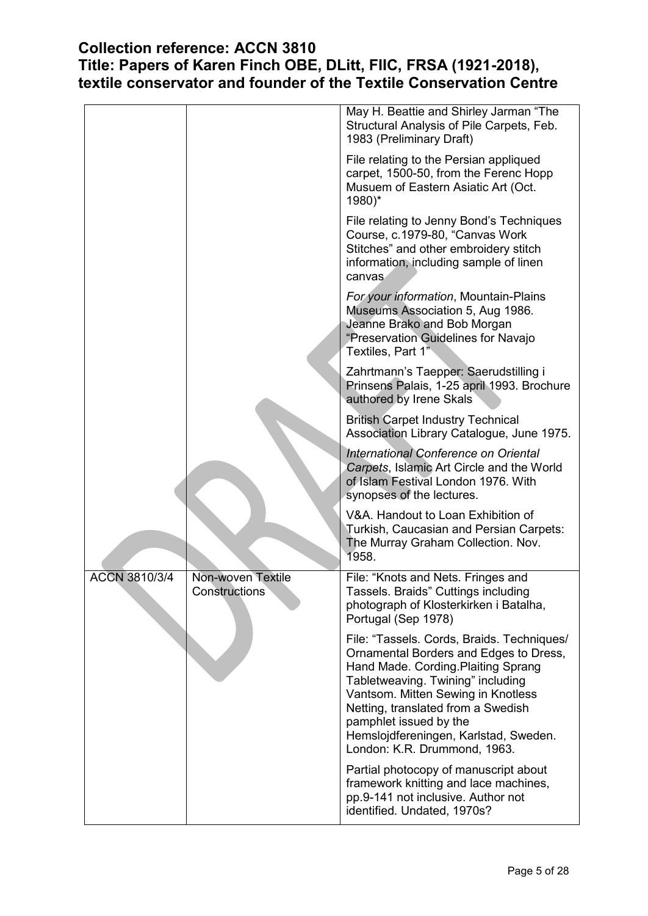|               |                                                                                                                                                                                                                                                                                                                                                | May H. Beattie and Shirley Jarman "The<br>Structural Analysis of Pile Carpets, Feb.<br>1983 (Preliminary Draft)                                                          |
|---------------|------------------------------------------------------------------------------------------------------------------------------------------------------------------------------------------------------------------------------------------------------------------------------------------------------------------------------------------------|--------------------------------------------------------------------------------------------------------------------------------------------------------------------------|
|               |                                                                                                                                                                                                                                                                                                                                                | File relating to the Persian appliqued<br>carpet, 1500-50, from the Ferenc Hopp<br>Musuem of Eastern Asiatic Art (Oct.<br>1980)*                                         |
|               |                                                                                                                                                                                                                                                                                                                                                | File relating to Jenny Bond's Techniques<br>Course, c.1979-80, "Canvas Work<br>Stitches" and other embroidery stitch<br>information, including sample of linen<br>canvas |
|               |                                                                                                                                                                                                                                                                                                                                                | For your information, Mountain-Plains<br>Museums Association 5, Aug 1986.<br>Jeanne Brako and Bob Morgan<br>"Preservation Guidelines for Navajo<br>Textiles, Part 1"     |
|               |                                                                                                                                                                                                                                                                                                                                                | Zahrtmann's Taepper: Saerudstilling i<br>Prinsens Palais, 1-25 april 1993. Brochure<br>authored by Irene Skals                                                           |
|               |                                                                                                                                                                                                                                                                                                                                                | <b>British Carpet Industry Technical</b><br>Association Library Catalogue, June 1975.                                                                                    |
|               |                                                                                                                                                                                                                                                                                                                                                | International Conference on Oriental<br>Carpets, Islamic Art Circle and the World<br>of Islam Festival London 1976. With<br>synopses of the lectures.                    |
|               |                                                                                                                                                                                                                                                                                                                                                | V&A. Handout to Loan Exhibition of<br>Turkish, Caucasian and Persian Carpets:<br>The Murray Graham Collection. Nov.<br>1958.                                             |
| ACCN 3810/3/4 | <b>Non-woven Textile</b><br>Constructions                                                                                                                                                                                                                                                                                                      | File: "Knots and Nets. Fringes and<br>Tassels. Braids" Cuttings including<br>photograph of Klosterkirken i Batalha,<br>Portugal (Sep 1978)                               |
|               | File: "Tassels. Cords, Braids. Techniques/<br>Ornamental Borders and Edges to Dress,<br>Hand Made. Cording Plaiting Sprang<br>Tabletweaving. Twining" including<br>Vantsom. Mitten Sewing in Knotless<br>Netting, translated from a Swedish<br>pamphlet issued by the<br>Hemslojdfereningen, Karlstad, Sweden.<br>London: K.R. Drummond, 1963. |                                                                                                                                                                          |
|               |                                                                                                                                                                                                                                                                                                                                                | Partial photocopy of manuscript about<br>framework knitting and lace machines,<br>pp.9-141 not inclusive. Author not<br>identified. Undated, 1970s?                      |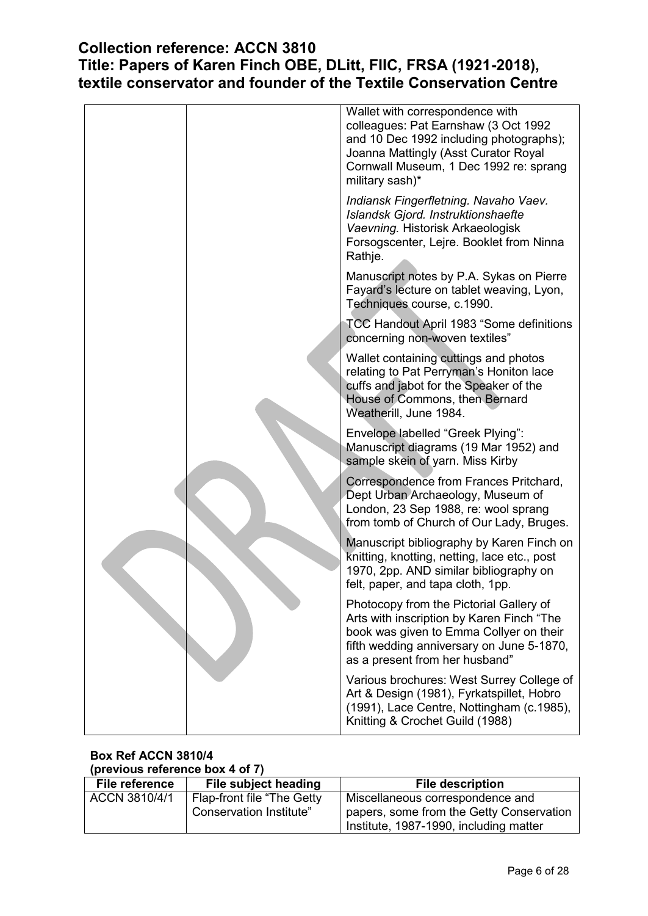| Wallet with correspondence with<br>colleagues: Pat Earnshaw (3 Oct 1992<br>and 10 Dec 1992 including photographs);<br>Joanna Mattingly (Asst Curator Royal<br>Cornwall Museum, 1 Dec 1992 re: sprang<br>military sash)* |
|-------------------------------------------------------------------------------------------------------------------------------------------------------------------------------------------------------------------------|
| Indiansk Fingerfletning. Navaho Vaev.<br>Islandsk Gjord. Instruktionshaefte<br>Vaevning. Historisk Arkaeologisk<br>Forsogscenter, Lejre. Booklet from Ninna<br>Rathje.                                                  |
| Manuscript notes by P.A. Sykas on Pierre<br>Fayard's lecture on tablet weaving, Lyon,<br>Techniques course, c.1990.                                                                                                     |
| TCC Handout April 1983 "Some definitions<br>concerning non-woven textiles"                                                                                                                                              |
| Wallet containing cuttings and photos<br>relating to Pat Perryman's Honiton lace<br>cuffs and jabot for the Speaker of the<br>House of Commons, then Bernard<br>Weatherill, June 1984.                                  |
| Envelope labelled "Greek Plying":<br>Manuscript diagrams (19 Mar 1952) and<br>sample skein of yarn. Miss Kirby                                                                                                          |
| Correspondence from Frances Pritchard,<br>Dept Urban Archaeology, Museum of<br>London, 23 Sep 1988, re: wool sprang<br>from tomb of Church of Our Lady, Bruges.                                                         |
| Manuscript bibliography by Karen Finch on<br>knitting, knotting, netting, lace etc., post<br>1970, 2pp. AND similar bibliography on<br>felt, paper, and tapa cloth, 1pp.                                                |
| Photocopy from the Pictorial Gallery of<br>Arts with inscription by Karen Finch "The<br>book was given to Emma Collyer on their<br>fifth wedding anniversary on June 5-1870,<br>as a present from her husband"          |
| Various brochures: West Surrey College of<br>Art & Design (1981), Fyrkatspillet, Hobro<br>(1991), Lace Centre, Nottingham (c.1985),<br>Knitting & Crochet Guild (1988)                                                  |

#### **Box Ref ACCN 3810/4 (previous reference box 4 of 7)**

| File reference | File subject heading                                   | <b>File description</b>                                                                                                |
|----------------|--------------------------------------------------------|------------------------------------------------------------------------------------------------------------------------|
| ACCN 3810/4/1  | Flap-front file "The Getty"<br>Conservation Institute" | Miscellaneous correspondence and<br>papers, some from the Getty Conservation<br>Institute, 1987-1990, including matter |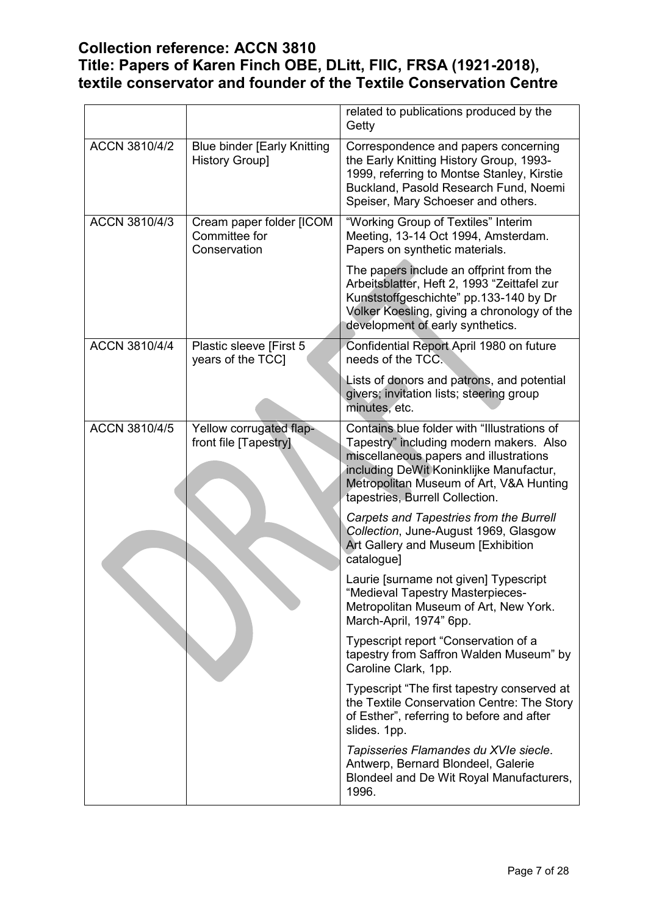|                      |                                                           | related to publications produced by the<br>Getty                                                                                                                                                                                                          |
|----------------------|-----------------------------------------------------------|-----------------------------------------------------------------------------------------------------------------------------------------------------------------------------------------------------------------------------------------------------------|
| <b>ACCN 3810/4/2</b> | <b>Blue binder [Early Knitting</b><br>History Group]      | Correspondence and papers concerning<br>the Early Knitting History Group, 1993-<br>1999, referring to Montse Stanley, Kirstie<br>Buckland, Pasold Research Fund, Noemi<br>Speiser, Mary Schoeser and others.                                              |
| ACCN 3810/4/3        | Cream paper folder [ICOM<br>Committee for<br>Conservation | "Working Group of Textiles" Interim<br>Meeting, 13-14 Oct 1994, Amsterdam.<br>Papers on synthetic materials.                                                                                                                                              |
|                      |                                                           | The papers include an offprint from the<br>Arbeitsblatter, Heft 2, 1993 "Zeittafel zur<br>Kunststoffgeschichte" pp.133-140 by Dr<br>Volker Koesling, giving a chronology of the<br>development of early synthetics.                                       |
| ACCN 3810/4/4        | Plastic sleeve [First 5<br>years of the TCC]              | Confidential Report April 1980 on future<br>needs of the TCC.                                                                                                                                                                                             |
|                      |                                                           | Lists of donors and patrons, and potential<br>givers; invitation lists; steering group<br>minutes, etc.                                                                                                                                                   |
| ACCN 3810/4/5        | Yellow corrugated flap-<br>front file [Tapestry]          | Contains blue folder with "Illustrations of<br>Tapestry" including modern makers. Also<br>miscellaneous papers and illustrations<br>including DeWit Koninklijke Manufactur,<br>Metropolitan Museum of Art, V&A Hunting<br>tapestries, Burrell Collection. |
|                      |                                                           | Carpets and Tapestries from the Burrell<br>Collection, June-August 1969, Glasgow<br>Art Gallery and Museum [Exhibition<br>catalogue]                                                                                                                      |
|                      |                                                           | Laurie [surname not given] Typescript<br>"Medieval Tapestry Masterpieces-<br>Metropolitan Museum of Art, New York.<br>March-April, 1974" 6pp.                                                                                                             |
|                      |                                                           | Typescript report "Conservation of a<br>tapestry from Saffron Walden Museum" by<br>Caroline Clark, 1pp.                                                                                                                                                   |
|                      |                                                           | Typescript "The first tapestry conserved at<br>the Textile Conservation Centre: The Story<br>of Esther", referring to before and after<br>slides. 1pp.                                                                                                    |
|                      |                                                           | Tapisseries Flamandes du XVIe siecle.<br>Antwerp, Bernard Blondeel, Galerie<br>Blondeel and De Wit Royal Manufacturers,<br>1996.                                                                                                                          |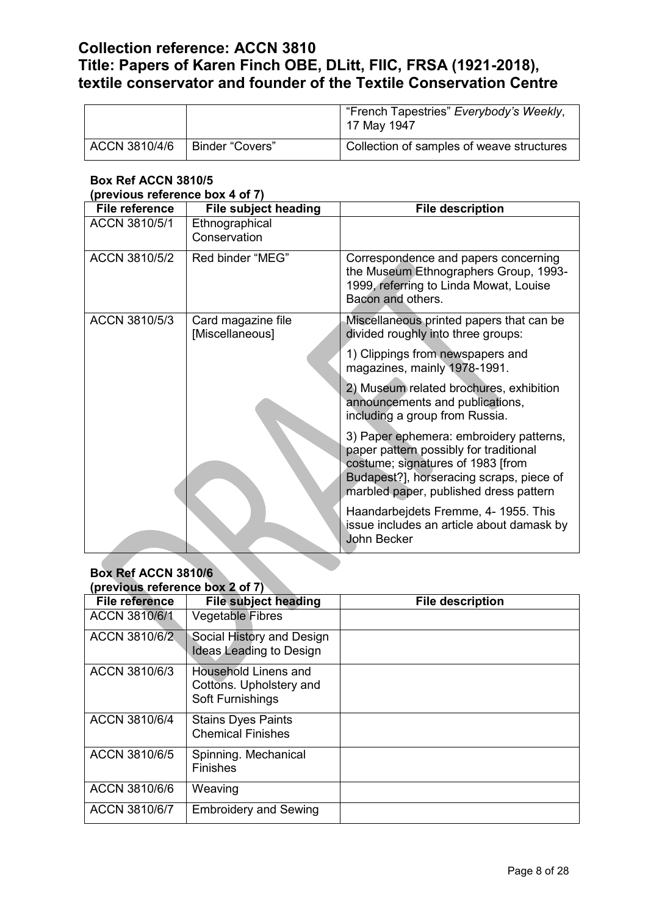|               |                 | "French Tapestries" Everybody's Weekly,<br>  17 May 1947 |
|---------------|-----------------|----------------------------------------------------------|
| ACCN 3810/4/6 | Binder "Covers" | Collection of samples of weave structures                |

# **Box Ref ACCN 3810/5**<br>Interious reference be

| (previous reference box 4 of 7) |                                       |                                                                                                                                                                                                              |
|---------------------------------|---------------------------------------|--------------------------------------------------------------------------------------------------------------------------------------------------------------------------------------------------------------|
| File reference                  | <b>File subject heading</b>           | <b>File description</b>                                                                                                                                                                                      |
| ACCN 3810/5/1                   | Ethnographical<br>Conservation        |                                                                                                                                                                                                              |
| ACCN 3810/5/2                   | Red binder "MEG"                      | Correspondence and papers concerning<br>the Museum Ethnographers Group, 1993-<br>1999, referring to Linda Mowat, Louise<br>Bacon and others.                                                                 |
| ACCN 3810/5/3                   | Card magazine file<br>[Miscellaneous] | Miscellaneous printed papers that can be<br>divided roughly into three groups:                                                                                                                               |
|                                 |                                       | 1) Clippings from newspapers and<br>magazines, mainly 1978-1991.                                                                                                                                             |
|                                 |                                       | 2) Museum related brochures, exhibition<br>announcements and publications,<br>including a group from Russia.                                                                                                 |
|                                 |                                       | 3) Paper ephemera: embroidery patterns,<br>paper pattern possibly for traditional<br>costume; signatures of 1983 [from<br>Budapest?], horseracing scraps, piece of<br>marbled paper, published dress pattern |
|                                 |                                       | Haandarbejdets Fremme, 4- 1955. This<br>issue includes an article about damask by<br><b>John Becker</b>                                                                                                      |

#### **Box Ref ACCN 3810/6 (previous reference box 2 of 7)**

| <b>File reference</b> | <b>File subject heading</b>                                         | <b>File description</b> |
|-----------------------|---------------------------------------------------------------------|-------------------------|
| ACCN 3810/6/1         | <b>Vegetable Fibres</b>                                             |                         |
| ACCN 3810/6/2         | Social History and Design<br><b>Ideas Leading to Design</b>         |                         |
| ACCN 3810/6/3         | Household Linens and<br>Cottons. Upholstery and<br>Soft Furnishings |                         |
| ACCN 3810/6/4         | <b>Stains Dyes Paints</b><br><b>Chemical Finishes</b>               |                         |
| ACCN 3810/6/5         | Spinning. Mechanical<br><b>Finishes</b>                             |                         |
| ACCN 3810/6/6         | Weaving                                                             |                         |
| ACCN 3810/6/7         | <b>Embroidery and Sewing</b>                                        |                         |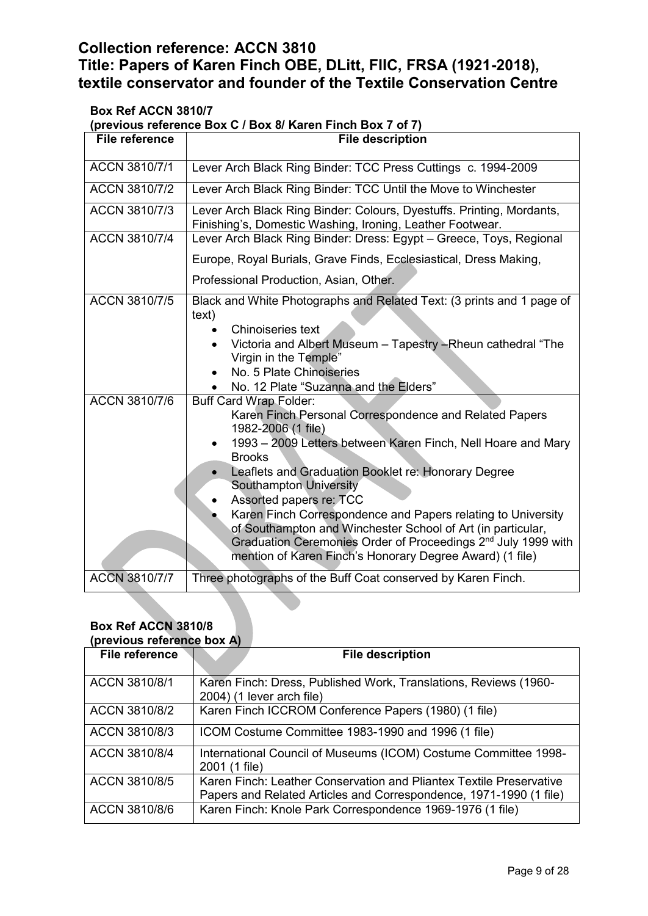#### **Box Ref ACCN 3810/7 (previous reference Box C / Box 8/ Karen Finch Box 7 of 7)**

| <b>File reference</b> | <b>File description</b>                                                                                                                                                                                                                                                                                                                                                                                                                                                                                                                                                                  |  |
|-----------------------|------------------------------------------------------------------------------------------------------------------------------------------------------------------------------------------------------------------------------------------------------------------------------------------------------------------------------------------------------------------------------------------------------------------------------------------------------------------------------------------------------------------------------------------------------------------------------------------|--|
| ACCN 3810/7/1         | Lever Arch Black Ring Binder: TCC Press Cuttings c. 1994-2009                                                                                                                                                                                                                                                                                                                                                                                                                                                                                                                            |  |
| ACCN 3810/7/2         | Lever Arch Black Ring Binder: TCC Until the Move to Winchester                                                                                                                                                                                                                                                                                                                                                                                                                                                                                                                           |  |
| ACCN 3810/7/3         | Lever Arch Black Ring Binder: Colours, Dyestuffs. Printing, Mordants,<br>Finishing's, Domestic Washing, Ironing, Leather Footwear.                                                                                                                                                                                                                                                                                                                                                                                                                                                       |  |
| ACCN 3810/7/4         | Lever Arch Black Ring Binder: Dress: Egypt - Greece, Toys, Regional                                                                                                                                                                                                                                                                                                                                                                                                                                                                                                                      |  |
|                       | Europe, Royal Burials, Grave Finds, Ecclesiastical, Dress Making,                                                                                                                                                                                                                                                                                                                                                                                                                                                                                                                        |  |
|                       | Professional Production, Asian, Other.                                                                                                                                                                                                                                                                                                                                                                                                                                                                                                                                                   |  |
| ACCN 3810/7/5         | Black and White Photographs and Related Text: (3 prints and 1 page of<br>text)<br>Chinoiseries text<br>Victoria and Albert Museum - Tapestry - Rheun cathedral "The<br>Virgin in the Temple"                                                                                                                                                                                                                                                                                                                                                                                             |  |
|                       | No. 5 Plate Chinoiseries                                                                                                                                                                                                                                                                                                                                                                                                                                                                                                                                                                 |  |
|                       | No. 12 Plate "Suzanna and the Elders"                                                                                                                                                                                                                                                                                                                                                                                                                                                                                                                                                    |  |
| ACCN 3810/7/6         | Buff Card Wrap Folder:<br>Karen Finch Personal Correspondence and Related Papers<br>1982-2006 (1 file)<br>1993 - 2009 Letters between Karen Finch, Nell Hoare and Mary<br>$\bullet$<br><b>Brooks</b><br>Leaflets and Graduation Booklet re: Honorary Degree<br>Southampton University<br>Assorted papers re: TCC<br>Karen Finch Correspondence and Papers relating to University<br>of Southampton and Winchester School of Art (in particular,<br>Graduation Ceremonies Order of Proceedings 2 <sup>nd</sup> July 1999 with<br>mention of Karen Finch's Honorary Degree Award) (1 file) |  |
| <b>ACCN 3810/7/7</b>  | Three photographs of the Buff Coat conserved by Karen Finch.                                                                                                                                                                                                                                                                                                                                                                                                                                                                                                                             |  |

#### **Box Ref ACCN 3810/8 (previous reference box A)**

| <b>File reference</b> | <b>File description</b>                                                                                                                   |  |
|-----------------------|-------------------------------------------------------------------------------------------------------------------------------------------|--|
| ACCN 3810/8/1         | Karen Finch: Dress, Published Work, Translations, Reviews (1960-<br>2004) (1 lever arch file)                                             |  |
| ACCN 3810/8/2         | Karen Finch ICCROM Conference Papers (1980) (1 file)                                                                                      |  |
| ACCN 3810/8/3         | ICOM Costume Committee 1983-1990 and 1996 (1 file)                                                                                        |  |
| ACCN 3810/8/4         | International Council of Museums (ICOM) Costume Committee 1998-<br>2001 (1 file)                                                          |  |
| ACCN 3810/8/5         | Karen Finch: Leather Conservation and Pliantex Textile Preservative<br>Papers and Related Articles and Correspondence, 1971-1990 (1 file) |  |
| ACCN 3810/8/6         | Karen Finch: Knole Park Correspondence 1969-1976 (1 file)                                                                                 |  |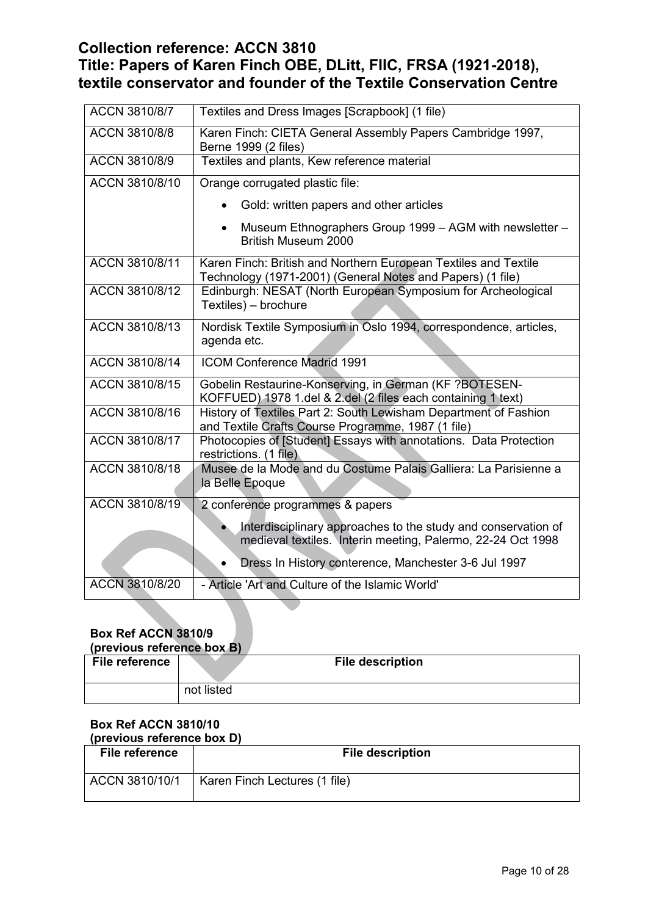| ACCN 3810/8/7         | Textiles and Dress Images [Scrapbook] (1 file)                                                                                |
|-----------------------|-------------------------------------------------------------------------------------------------------------------------------|
| ACCN 3810/8/8         | Karen Finch: CIETA General Assembly Papers Cambridge 1997,<br>Berne 1999 (2 files)                                            |
| ACCN 3810/8/9         | Textiles and plants, Kew reference material                                                                                   |
| ACCN 3810/8/10        | Orange corrugated plastic file:                                                                                               |
|                       | Gold: written papers and other articles                                                                                       |
|                       | Museum Ethnographers Group 1999 - AGM with newsletter -<br>British Museum 2000                                                |
| ACCN 3810/8/11        | Karen Finch: British and Northern European Textiles and Textile<br>Technology (1971-2001) (General Notes and Papers) (1 file) |
| ACCN 3810/8/12        | Edinburgh: NESAT (North European Symposium for Archeological<br>Textiles) - brochure                                          |
| ACCN 3810/8/13        | Nordisk Textile Symposium in Oslo 1994, correspondence, articles,<br>agenda etc.                                              |
| ACCN 3810/8/14        | <b>ICOM Conference Madrid 1991</b>                                                                                            |
| ACCN 3810/8/15        | Gobelin Restaurine-Konserving, in German (KF ?BOTESEN-<br>KOFFUED) 1978 1.del & 2.del (2 files each containing 1 text)        |
| ACCN 3810/8/16        | History of Textiles Part 2: South Lewisham Department of Fashion<br>and Textile Crafts Course Programme, 1987 (1 file)        |
| ACCN 3810/8/17        | Photocopies of [Student] Essays with annotations. Data Protection<br>restrictions. (1 file)                                   |
| <b>ACCN 3810/8/18</b> | Musee de la Mode and du Costume Palais Galliera: La Parisienne a<br>la Belle Epoque                                           |
| ACCN 3810/8/19        | 2 conference programmes & papers                                                                                              |
|                       | Interdisciplinary approaches to the study and conservation of<br>medieval textiles. Interin meeting, Palermo, 22-24 Oct 1998  |
|                       | Dress In History conterence, Manchester 3-6 Jul 1997                                                                          |
| ACCN 3810/8/20        | - Article 'Art and Culture of the Islamic World'                                                                              |
|                       |                                                                                                                               |

#### **Box Ref ACCN 3810/9**

| (previous reference box B) |  |  |
|----------------------------|--|--|
|                            |  |  |

| <b>File reference</b> | <b>File description</b> |
|-----------------------|-------------------------|
|                       | not listed              |

#### **Box Ref ACCN 3810/10 (previous reference box D)**

| (previous reference lock D) |                               |
|-----------------------------|-------------------------------|
| File reference              | <b>File description</b>       |
| ACCN 3810/10/1              | Karen Finch Lectures (1 file) |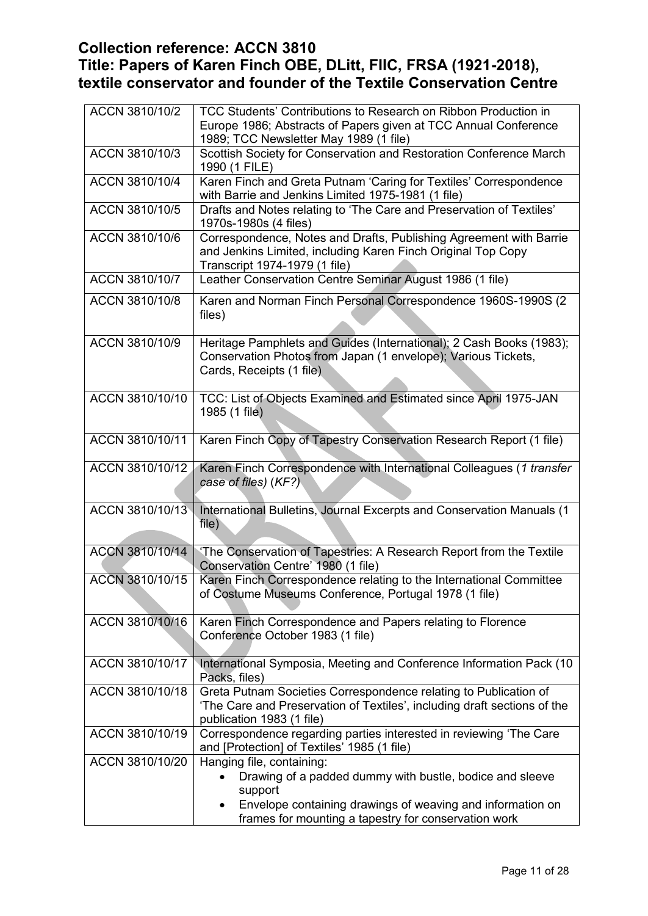| ACCN 3810/10/2  | TCC Students' Contributions to Research on Ribbon Production in<br>Europe 1986; Abstracts of Papers given at TCC Annual Conference<br>1989; TCC Newsletter May 1989 (1 file) |
|-----------------|------------------------------------------------------------------------------------------------------------------------------------------------------------------------------|
| ACCN 3810/10/3  | Scottish Society for Conservation and Restoration Conference March<br>1990 (1 FILE)                                                                                          |
| ACCN 3810/10/4  | Karen Finch and Greta Putnam 'Caring for Textiles' Correspondence<br>with Barrie and Jenkins Limited 1975-1981 (1 file)                                                      |
| ACCN 3810/10/5  | Drafts and Notes relating to 'The Care and Preservation of Textiles'<br>1970s-1980s (4 files)                                                                                |
| ACCN 3810/10/6  | Correspondence, Notes and Drafts, Publishing Agreement with Barrie<br>and Jenkins Limited, including Karen Finch Original Top Copy<br>Transcript 1974-1979 (1 file)          |
| ACCN 3810/10/7  | Leather Conservation Centre Seminar August 1986 (1 file)                                                                                                                     |
| ACCN 3810/10/8  | Karen and Norman Finch Personal Correspondence 1960S-1990S (2<br>files)                                                                                                      |
| ACCN 3810/10/9  | Heritage Pamphlets and Guides (International); 2 Cash Books (1983);<br>Conservation Photos from Japan (1 envelope); Various Tickets,<br>Cards, Receipts (1 file)             |
| ACCN 3810/10/10 | TCC: List of Objects Examined and Estimated since April 1975-JAN<br>1985 (1 file)                                                                                            |
| ACCN 3810/10/11 | Karen Finch Copy of Tapestry Conservation Research Report (1 file)                                                                                                           |
| ACCN 3810/10/12 | Karen Finch Correspondence with International Colleagues (1 transfer<br>case of files) (KF?)                                                                                 |
| ACCN 3810/10/13 | International Bulletins, Journal Excerpts and Conservation Manuals (1<br>file)                                                                                               |
| ACCN 3810/10/14 | 'The Conservation of Tapestries: A Research Report from the Textile<br>Conservation Centre' 1980 (1 file)                                                                    |
| ACCN 3810/10/15 | Karen Finch Correspondence relating to the International Committee<br>of Costume Museums Conference, Portugal 1978 (1 file)                                                  |
| ACCN 3810/10/16 | Karen Finch Correspondence and Papers relating to Florence<br>Conference October 1983 (1 file)                                                                               |
| ACCN 3810/10/17 | International Symposia, Meeting and Conference Information Pack (10<br>Packs, files)                                                                                         |
| ACCN 3810/10/18 | Greta Putnam Societies Correspondence relating to Publication of<br>'The Care and Preservation of Textiles', including draft sections of the<br>publication 1983 (1 file)    |
| ACCN 3810/10/19 | Correspondence regarding parties interested in reviewing 'The Care<br>and [Protection] of Textiles' 1985 (1 file)                                                            |
| ACCN 3810/10/20 | Hanging file, containing:<br>Drawing of a padded dummy with bustle, bodice and sleeve<br>support                                                                             |
|                 | Envelope containing drawings of weaving and information on<br>frames for mounting a tapestry for conservation work                                                           |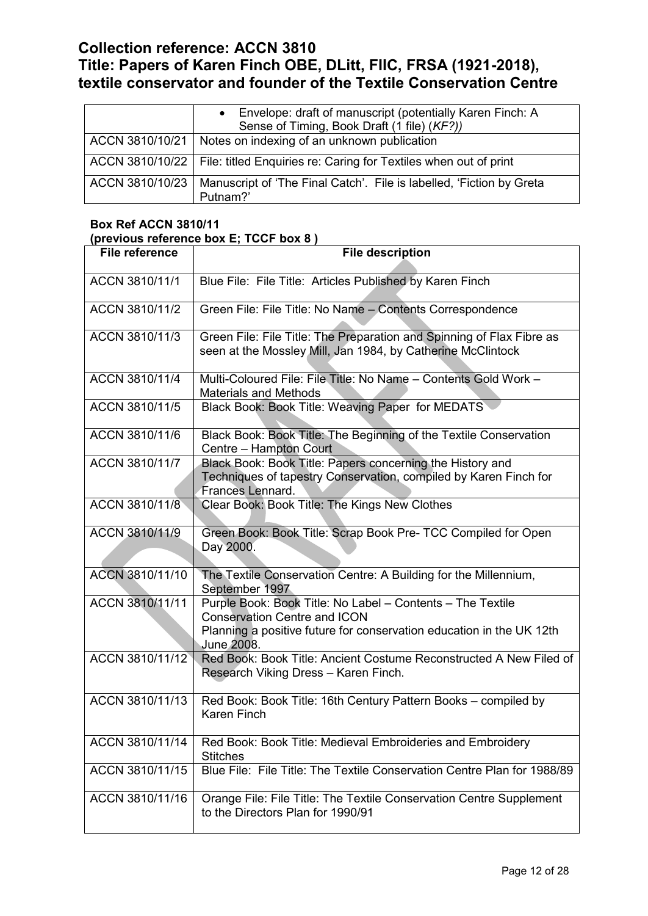|                 | • Envelope: draft of manuscript (potentially Karen Finch: A<br>Sense of Timing, Book Draft (1 file) (KF?)) |
|-----------------|------------------------------------------------------------------------------------------------------------|
| ACCN 3810/10/21 | Notes on indexing of an unknown publication                                                                |
|                 | ACCN 3810/10/22   File: titled Enquiries re: Caring for Textiles when out of print                         |
| ACCN 3810/10/23 | Manuscript of 'The Final Catch'. File is labelled, 'Fiction by Greta<br>Putnam?'                           |

#### **Box Ref ACCN 3810/11 (previous reference box E; TCCF box 8 )**

| <b>File reference</b> | <b>File description</b>                                                                                                                                                                 |
|-----------------------|-----------------------------------------------------------------------------------------------------------------------------------------------------------------------------------------|
| ACCN 3810/11/1        | Blue File: File Title: Articles Published by Karen Finch                                                                                                                                |
| ACCN 3810/11/2        | Green File: File Title: No Name - Contents Correspondence                                                                                                                               |
| ACCN 3810/11/3        | Green File: File Title: The Preparation and Spinning of Flax Fibre as<br>seen at the Mossley Mill, Jan 1984, by Catherine McClintock                                                    |
| ACCN 3810/11/4        | Multi-Coloured File: File Title: No Name - Contents Gold Work -<br><b>Materials and Methods</b>                                                                                         |
| ACCN 3810/11/5        | Black Book: Book Title: Weaving Paper for MEDATS                                                                                                                                        |
| ACCN 3810/11/6        | Black Book: Book Title: The Beginning of the Textile Conservation<br>Centre - Hampton Court                                                                                             |
| ACCN 3810/11/7        | Black Book: Book Title: Papers concerning the History and<br>Techniques of tapestry Conservation, compiled by Karen Finch for<br>Frances Lennard.                                       |
| ACCN 3810/11/8        | Clear Book: Book Title: The Kings New Clothes                                                                                                                                           |
| ACCN 3810/11/9        | Green Book: Book Title: Scrap Book Pre- TCC Compiled for Open<br>Day 2000.                                                                                                              |
| ACCN 3810/11/10       | The Textile Conservation Centre: A Building for the Millennium,<br>September 1997                                                                                                       |
| ACCN 3810/11/11       | Purple Book: Book Title: No Label - Contents - The Textile<br><b>Conservation Centre and ICON</b><br>Planning a positive future for conservation education in the UK 12th<br>June 2008. |
| ACCN 3810/11/12       | Red Book: Book Title: Ancient Costume Reconstructed A New Filed of<br>Research Viking Dress - Karen Finch.                                                                              |
| ACCN 3810/11/13       | Red Book: Book Title: 16th Century Pattern Books - compiled by<br>Karen Finch                                                                                                           |
| ACCN 3810/11/14       | Red Book: Book Title: Medieval Embroideries and Embroidery<br><b>Stitches</b>                                                                                                           |
| ACCN 3810/11/15       | Blue File: File Title: The Textile Conservation Centre Plan for 1988/89                                                                                                                 |
| ACCN 3810/11/16       | Orange File: File Title: The Textile Conservation Centre Supplement<br>to the Directors Plan for 1990/91                                                                                |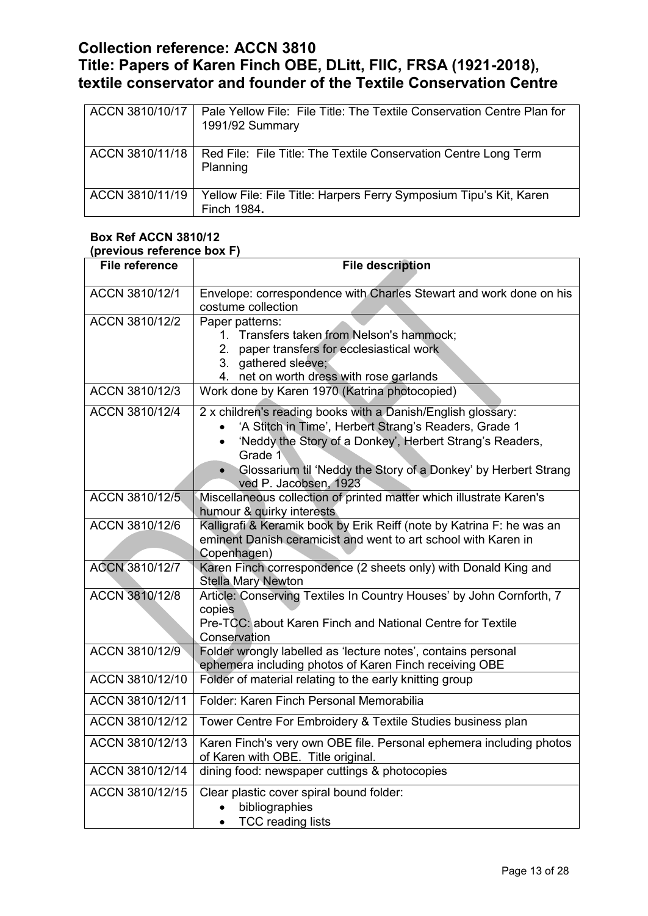|                 | ACCN 3810/10/17   Pale Yellow File: File Title: The Textile Conservation Centre Plan for<br>1991/92 Summary |
|-----------------|-------------------------------------------------------------------------------------------------------------|
|                 | ACCN 3810/11/18   Red File: File Title: The Textile Conservation Centre Long Term<br>Planning               |
| ACCN 3810/11/19 | Yellow File: File Title: Harpers Ferry Symposium Tipu's Kit, Karen<br>Finch 1984.                           |

#### **Box Ref ACCN 3810/12 (previous reference box F)**

| <b>File reference</b> | <b>File description</b>                                                                                                                                                                                                                                                     |
|-----------------------|-----------------------------------------------------------------------------------------------------------------------------------------------------------------------------------------------------------------------------------------------------------------------------|
| ACCN 3810/12/1        | Envelope: correspondence with Charles Stewart and work done on his<br>costume collection                                                                                                                                                                                    |
| ACCN 3810/12/2        | Paper patterns:<br>1. Transfers taken from Nelson's hammock;<br>paper transfers for ecclesiastical work<br>2.<br>gathered sleeve;<br>3.<br>net on worth dress with rose garlands<br>4.                                                                                      |
| ACCN 3810/12/3        | Work done by Karen 1970 (Katrina photocopied)                                                                                                                                                                                                                               |
| ACCN 3810/12/4        | 2 x children's reading books with a Danish/English glossary:<br>'A Stitch in Time', Herbert Strang's Readers, Grade 1<br>'Neddy the Story of a Donkey', Herbert Strang's Readers,<br>Grade 1<br>Glossarium til 'Neddy the Story of a Donkey' by Herbert Strang<br>$\bullet$ |
| ACCN 3810/12/5        | ved P. Jacobsen, 1923<br>Miscellaneous collection of printed matter which illustrate Karen's<br>humour & quirky interests                                                                                                                                                   |
| ACCN 3810/12/6        | Kalligrafi & Keramik book by Erik Reiff (note by Katrina F: he was an<br>eminent Danish ceramicist and went to art school with Karen in<br>Copenhagen)                                                                                                                      |
| ACCN 3810/12/7        | Karen Finch correspondence (2 sheets only) with Donald King and<br><b>Stella Mary Newton</b>                                                                                                                                                                                |
| ACCN 3810/12/8        | Article: Conserving Textiles In Country Houses' by John Cornforth, 7<br>copies<br>Pre-TCC: about Karen Finch and National Centre for Textile<br>Conservation                                                                                                                |
| ACCN 3810/12/9        | Folder wrongly labelled as 'lecture notes', contains personal<br>ephemera including photos of Karen Finch receiving OBE                                                                                                                                                     |
| ACCN 3810/12/10       | Folder of material relating to the early knitting group                                                                                                                                                                                                                     |
| ACCN 3810/12/11       | Folder: Karen Finch Personal Memorabilia                                                                                                                                                                                                                                    |
| ACCN 3810/12/12       | Tower Centre For Embroidery & Textile Studies business plan                                                                                                                                                                                                                 |
| ACCN 3810/12/13       | Karen Finch's very own OBE file. Personal ephemera including photos<br>of Karen with OBE. Title original.                                                                                                                                                                   |
| ACCN 3810/12/14       | dining food: newspaper cuttings & photocopies                                                                                                                                                                                                                               |
| ACCN 3810/12/15       | Clear plastic cover spiral bound folder:<br>bibliographies<br><b>TCC reading lists</b>                                                                                                                                                                                      |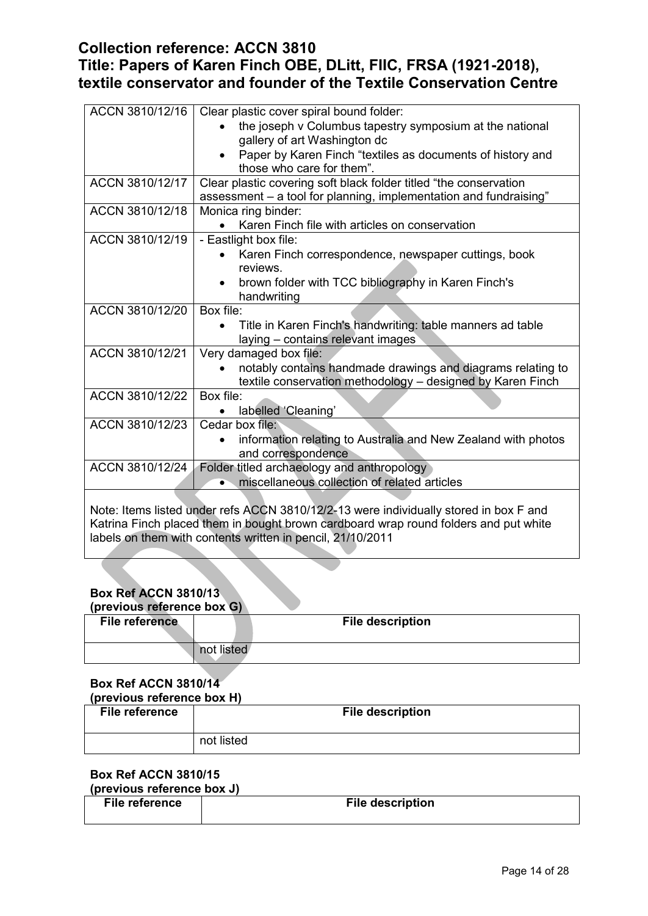| ACCN 3810/12/16 | Clear plastic cover spiral bound folder:                                              |  |
|-----------------|---------------------------------------------------------------------------------------|--|
|                 | the joseph v Columbus tapestry symposium at the national                              |  |
|                 | gallery of art Washington dc                                                          |  |
|                 | Paper by Karen Finch "textiles as documents of history and                            |  |
|                 | those who care for them".                                                             |  |
| ACCN 3810/12/17 | Clear plastic covering soft black folder titled "the conservation                     |  |
|                 | assessment - a tool for planning, implementation and fundraising"                     |  |
| ACCN 3810/12/18 | Monica ring binder:                                                                   |  |
|                 | Karen Finch file with articles on conservation                                        |  |
| ACCN 3810/12/19 | - Eastlight box file:                                                                 |  |
|                 | Karen Finch correspondence, newspaper cuttings, book                                  |  |
|                 | reviews.                                                                              |  |
|                 | brown folder with TCC bibliography in Karen Finch's                                   |  |
|                 | handwriting                                                                           |  |
| ACCN 3810/12/20 | Box file:                                                                             |  |
|                 | Title in Karen Finch's handwriting: table manners ad table                            |  |
|                 | laying - contains relevant images                                                     |  |
| ACCN 3810/12/21 | Very damaged box file:                                                                |  |
|                 | notably contains handmade drawings and diagrams relating to                           |  |
|                 | textile conservation methodology - designed by Karen Finch                            |  |
| ACCN 3810/12/22 | Box file:                                                                             |  |
|                 | labelled 'Cleaning'                                                                   |  |
| ACCN 3810/12/23 | Cedar box file:                                                                       |  |
|                 | information relating to Australia and New Zealand with photos                         |  |
|                 | and correspondence                                                                    |  |
| ACCN 3810/12/24 | Folder titled archaeology and anthropology                                            |  |
|                 | miscellaneous collection of related articles                                          |  |
|                 |                                                                                       |  |
|                 | Note: Items listed under refs ACCN 3810/12/2-13 were individually stored in box F and |  |
|                 | Katrina Finch placed them in bought brown cardboard wrap round folders and put white  |  |

**Box Ref ACCN 3810/13 (previous reference box G)**

labels on them with contents written in pencil, 21/10/2011

| <b>IDIGAIORS IGIGIGILE DOY AT</b> |            |                         |
|-----------------------------------|------------|-------------------------|
| <b>File reference</b>             |            | <b>File description</b> |
|                                   | not listed |                         |

#### **Box Ref ACCN 3810/14**

| (previous reference box H) |                         |  |
|----------------------------|-------------------------|--|
| <b>File reference</b>      | <b>File description</b> |  |
|                            | not listed              |  |

#### **Box Ref ACCN 3810/15**

| (previous reference box J) |
|----------------------------|
|----------------------------|

| File reference | <b>File description</b> |  |
|----------------|-------------------------|--|
|                |                         |  |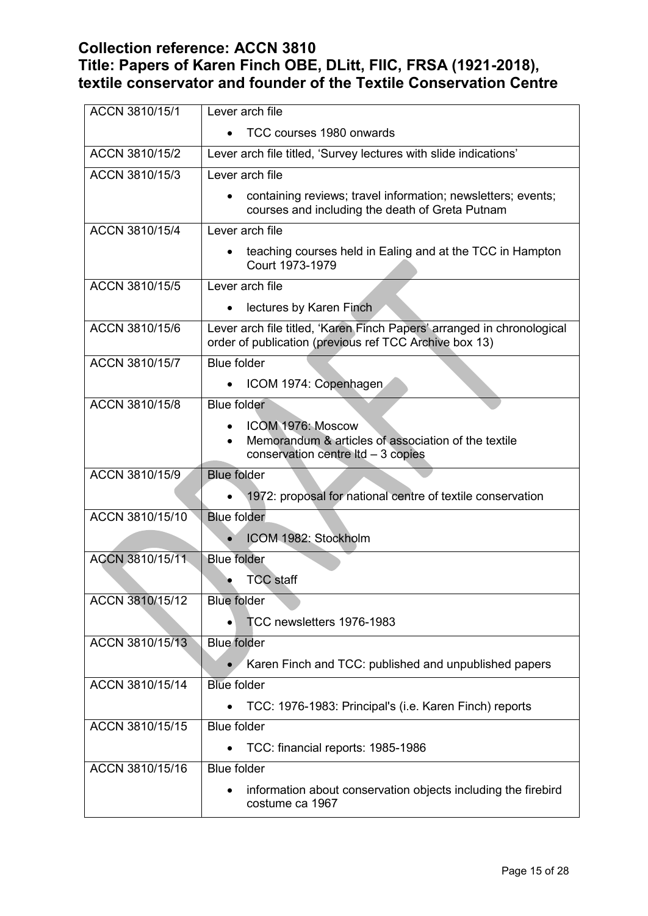| ACCN 3810/15/1  | Lever arch file                                                                                                                  |  |  |
|-----------------|----------------------------------------------------------------------------------------------------------------------------------|--|--|
|                 | TCC courses 1980 onwards                                                                                                         |  |  |
| ACCN 3810/15/2  | Lever arch file titled, 'Survey lectures with slide indications'                                                                 |  |  |
| ACCN 3810/15/3  | Lever arch file                                                                                                                  |  |  |
|                 | containing reviews; travel information; newsletters; events;<br>$\bullet$<br>courses and including the death of Greta Putnam     |  |  |
| ACCN 3810/15/4  | Lever arch file                                                                                                                  |  |  |
|                 | teaching courses held in Ealing and at the TCC in Hampton<br>Court 1973-1979                                                     |  |  |
| ACCN 3810/15/5  | Lever arch file                                                                                                                  |  |  |
|                 | lectures by Karen Finch                                                                                                          |  |  |
| ACCN 3810/15/6  | Lever arch file titled, 'Karen Finch Papers' arranged in chronological<br>order of publication (previous ref TCC Archive box 13) |  |  |
| ACCN 3810/15/7  | <b>Blue folder</b>                                                                                                               |  |  |
|                 | ICOM 1974: Copenhagen                                                                                                            |  |  |
| ACCN 3810/15/8  | <b>Blue folder</b>                                                                                                               |  |  |
|                 | ICOM 1976: Moscow                                                                                                                |  |  |
|                 | Memorandum & articles of association of the textile<br>conservation centre ltd - 3 copies                                        |  |  |
| ACCN 3810/15/9  | <b>Blue folder</b>                                                                                                               |  |  |
|                 | 1972: proposal for national centre of textile conservation                                                                       |  |  |
| ACCN 3810/15/10 | <b>Blue folder</b>                                                                                                               |  |  |
|                 | ICOM 1982: Stockholm                                                                                                             |  |  |
|                 |                                                                                                                                  |  |  |
| ACCN 3810/15/11 | <b>Blue folder</b>                                                                                                               |  |  |
|                 | <b>TCC</b> staff                                                                                                                 |  |  |
| ACCN 3810/15/12 | <b>Blue folder</b>                                                                                                               |  |  |
|                 | TCC newsletters 1976-1983                                                                                                        |  |  |
| ACCN 3810/15/13 | <b>Blue folder</b>                                                                                                               |  |  |
|                 | Karen Finch and TCC: published and unpublished papers                                                                            |  |  |
| ACCN 3810/15/14 | <b>Blue folder</b>                                                                                                               |  |  |
|                 | TCC: 1976-1983: Principal's (i.e. Karen Finch) reports                                                                           |  |  |
| ACCN 3810/15/15 | <b>Blue folder</b>                                                                                                               |  |  |
|                 | TCC: financial reports: 1985-1986                                                                                                |  |  |
| ACCN 3810/15/16 | <b>Blue folder</b>                                                                                                               |  |  |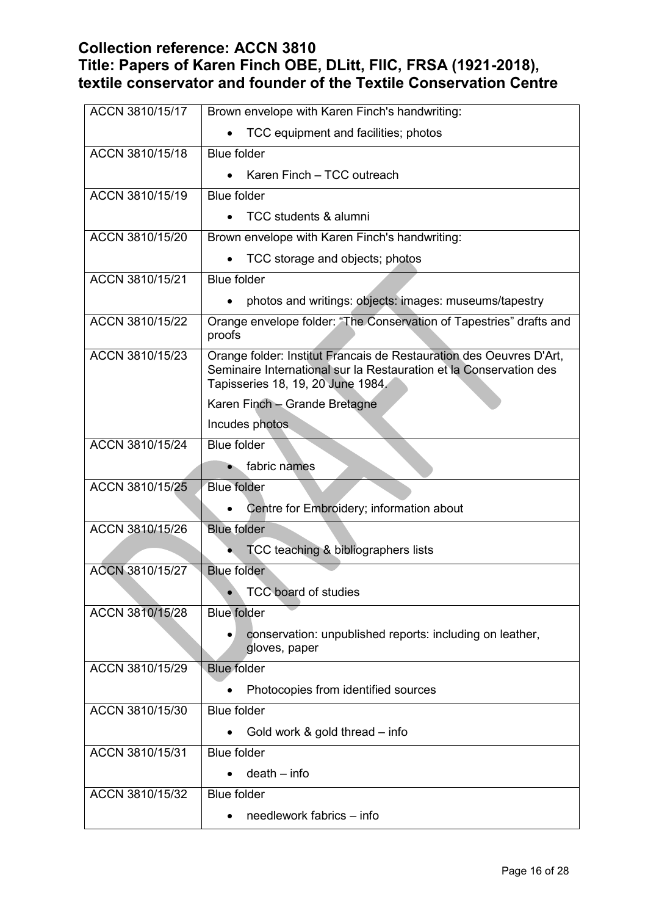| ACCN 3810/15/17 | Brown envelope with Karen Finch's handwriting:                                                                                                                                 |  |  |
|-----------------|--------------------------------------------------------------------------------------------------------------------------------------------------------------------------------|--|--|
|                 | TCC equipment and facilities; photos                                                                                                                                           |  |  |
| ACCN 3810/15/18 | <b>Blue folder</b>                                                                                                                                                             |  |  |
|                 | Karen Finch - TCC outreach                                                                                                                                                     |  |  |
| ACCN 3810/15/19 | <b>Blue folder</b>                                                                                                                                                             |  |  |
|                 | TCC students & alumni                                                                                                                                                          |  |  |
| ACCN 3810/15/20 | Brown envelope with Karen Finch's handwriting:                                                                                                                                 |  |  |
|                 | TCC storage and objects; photos                                                                                                                                                |  |  |
| ACCN 3810/15/21 | <b>Blue folder</b>                                                                                                                                                             |  |  |
|                 | photos and writings: objects: images: museums/tapestry                                                                                                                         |  |  |
| ACCN 3810/15/22 | Orange envelope folder: "The Conservation of Tapestries" drafts and<br>proofs                                                                                                  |  |  |
| ACCN 3810/15/23 | Orange folder: Institut Francais de Restauration des Oeuvres D'Art,<br>Seminaire International sur la Restauration et la Conservation des<br>Tapisseries 18, 19, 20 June 1984. |  |  |
|                 | Karen Finch - Grande Bretagne                                                                                                                                                  |  |  |
|                 | Incudes photos                                                                                                                                                                 |  |  |
| ACCN 3810/15/24 | <b>Blue folder</b>                                                                                                                                                             |  |  |
|                 | fabric names                                                                                                                                                                   |  |  |
| ACCN 3810/15/25 | <b>Blue folder</b>                                                                                                                                                             |  |  |
|                 | Centre for Embroidery; information about                                                                                                                                       |  |  |
| ACCN 3810/15/26 | <b>Blue folder</b>                                                                                                                                                             |  |  |
|                 | TCC teaching & bibliographers lists                                                                                                                                            |  |  |
| ACCN 3810/15/27 | <b>Blue folder</b>                                                                                                                                                             |  |  |
|                 | <b>TCC board of studies</b>                                                                                                                                                    |  |  |
| ACCN 3810/15/28 | <b>Blue folder</b>                                                                                                                                                             |  |  |
|                 | conservation: unpublished reports: including on leather,<br>gloves, paper                                                                                                      |  |  |
| ACCN 3810/15/29 | <b>Blue folder</b>                                                                                                                                                             |  |  |
|                 | Photocopies from identified sources                                                                                                                                            |  |  |
| ACCN 3810/15/30 | <b>Blue folder</b>                                                                                                                                                             |  |  |
|                 | Gold work & gold thread – info                                                                                                                                                 |  |  |
| ACCN 3810/15/31 | <b>Blue folder</b>                                                                                                                                                             |  |  |
|                 | $death - info$                                                                                                                                                                 |  |  |
| ACCN 3810/15/32 | <b>Blue folder</b>                                                                                                                                                             |  |  |
|                 |                                                                                                                                                                                |  |  |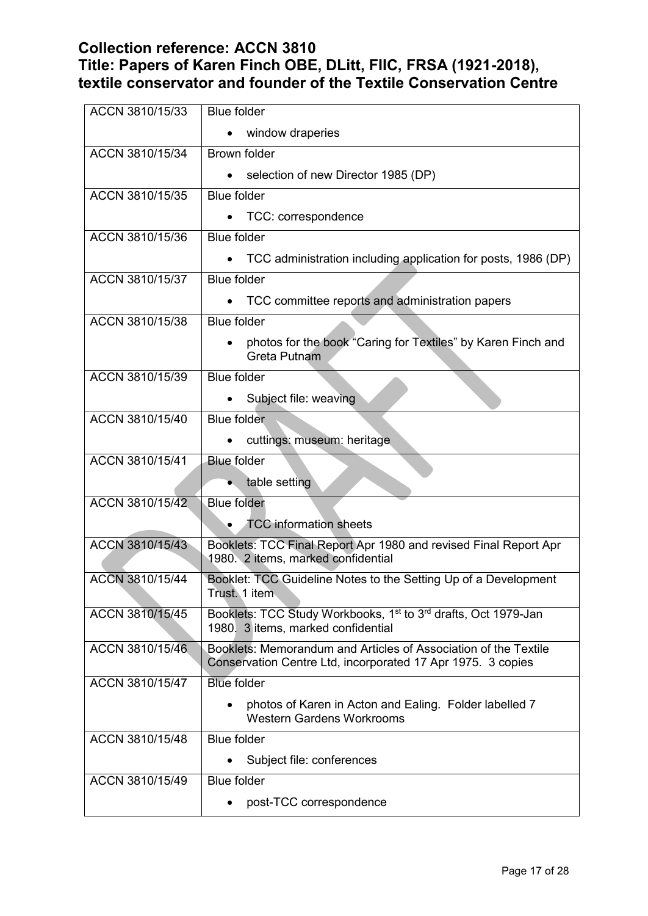| ACCN 3810/15/33 | <b>Blue folder</b>                                                                                                             |  |
|-----------------|--------------------------------------------------------------------------------------------------------------------------------|--|
|                 | window draperies                                                                                                               |  |
| ACCN 3810/15/34 | <b>Brown folder</b>                                                                                                            |  |
|                 | selection of new Director 1985 (DP)                                                                                            |  |
| ACCN 3810/15/35 | <b>Blue folder</b>                                                                                                             |  |
|                 | TCC: correspondence                                                                                                            |  |
| ACCN 3810/15/36 | <b>Blue folder</b>                                                                                                             |  |
|                 | TCC administration including application for posts, 1986 (DP)                                                                  |  |
| ACCN 3810/15/37 | <b>Blue folder</b>                                                                                                             |  |
|                 | TCC committee reports and administration papers                                                                                |  |
| ACCN 3810/15/38 | <b>Blue folder</b>                                                                                                             |  |
|                 | photos for the book "Caring for Textiles" by Karen Finch and<br><b>Greta Putnam</b>                                            |  |
| ACCN 3810/15/39 | <b>Blue folder</b>                                                                                                             |  |
|                 | Subject file: weaving                                                                                                          |  |
| ACCN 3810/15/40 | <b>Blue folder</b>                                                                                                             |  |
|                 | cuttings: museum: heritage                                                                                                     |  |
| ACCN 3810/15/41 | <b>Blue folder</b>                                                                                                             |  |
|                 | table setting                                                                                                                  |  |
| ACCN 3810/15/42 | <b>Blue folder</b>                                                                                                             |  |
|                 | <b>TCC</b> information sheets                                                                                                  |  |
| ACCN 3810/15/43 | Booklets: TCC Final Report Apr 1980 and revised Final Report Apr<br>1980. 2 items, marked confidential                         |  |
| ACCN 3810/15/44 | Booklet: TCC Guideline Notes to the Setting Up of a Development<br>Trust. 1 item                                               |  |
| ACCN 3810/15/45 | Booklets: TCC Study Workbooks, 1 <sup>st</sup> to 3 <sup>rd</sup> drafts, Oct 1979-Jan<br>1980. 3 items, marked confidential   |  |
| ACCN 3810/15/46 | Booklets: Memorandum and Articles of Association of the Textile<br>Conservation Centre Ltd, incorporated 17 Apr 1975. 3 copies |  |
| ACCN 3810/15/47 | <b>Blue folder</b>                                                                                                             |  |
|                 | photos of Karen in Acton and Ealing. Folder labelled 7<br><b>Western Gardens Workrooms</b>                                     |  |
| ACCN 3810/15/48 | <b>Blue folder</b>                                                                                                             |  |
|                 | Subject file: conferences                                                                                                      |  |
| ACCN 3810/15/49 | <b>Blue folder</b>                                                                                                             |  |
|                 | post-TCC correspondence                                                                                                        |  |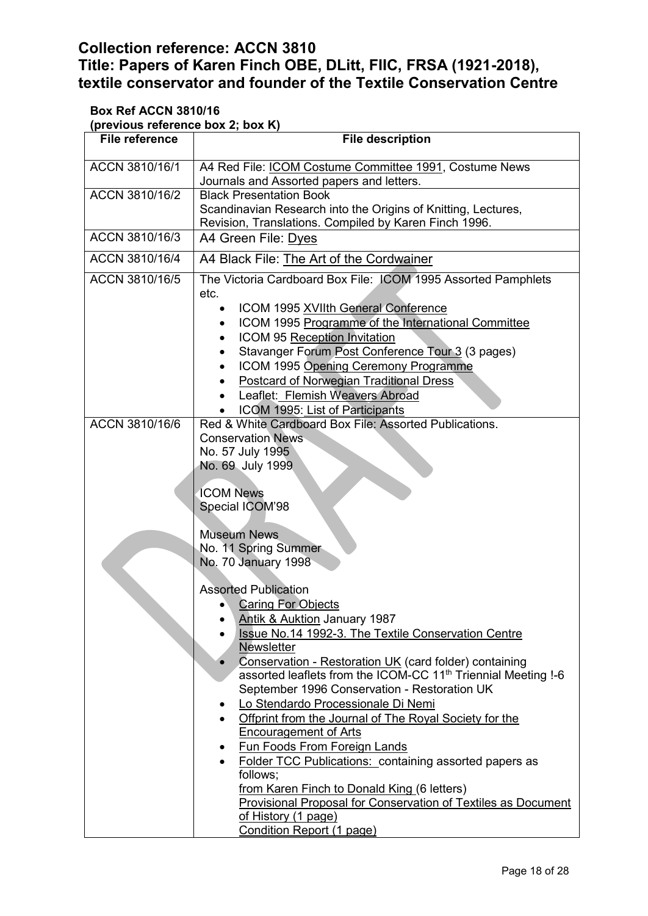#### **Collection reference: ACCN 3810**

# **Title: Papers of Karen Finch OBE, DLitt, FIIC, FRSA (1921-2018), textile conservator and founder of the Textile Conservation Centre**

# **Box Ref ACCN 3810/16**

| ————————————————————              |  |  |
|-----------------------------------|--|--|
| (previous reference box 2; box K) |  |  |

| <b>File reference</b> | <b>File description</b>                                                                                                                                                                                                                                                                                                                                                                                                                                                                                                                                                                                                                                                                                                                                                                                                    |
|-----------------------|----------------------------------------------------------------------------------------------------------------------------------------------------------------------------------------------------------------------------------------------------------------------------------------------------------------------------------------------------------------------------------------------------------------------------------------------------------------------------------------------------------------------------------------------------------------------------------------------------------------------------------------------------------------------------------------------------------------------------------------------------------------------------------------------------------------------------|
| ACCN 3810/16/1        | A4 Red File: ICOM Costume Committee 1991, Costume News<br>Journals and Assorted papers and letters.                                                                                                                                                                                                                                                                                                                                                                                                                                                                                                                                                                                                                                                                                                                        |
| ACCN 3810/16/2        | <b>Black Presentation Book</b><br>Scandinavian Research into the Origins of Knitting, Lectures,<br>Revision, Translations. Compiled by Karen Finch 1996.                                                                                                                                                                                                                                                                                                                                                                                                                                                                                                                                                                                                                                                                   |
| ACCN 3810/16/3        | A4 Green File: Dyes                                                                                                                                                                                                                                                                                                                                                                                                                                                                                                                                                                                                                                                                                                                                                                                                        |
| ACCN 3810/16/4        | A4 Black File: The Art of the Cordwainer                                                                                                                                                                                                                                                                                                                                                                                                                                                                                                                                                                                                                                                                                                                                                                                   |
| ACCN 3810/16/5        | The Victoria Cardboard Box File: JCOM 1995 Assorted Pamphlets<br>etc.<br>ICOM 1995 XVIIth General Conference<br>ICOM 1995 Programme of the International Committee<br>٠<br>ICOM 95 Reception Invitation<br>Stavanger Forum Post Conference Tour 3 (3 pages)<br>٠<br>ICOM 1995 Opening Ceremony Programme<br>$\bullet$<br>Postcard of Norwegian Traditional Dress<br>$\bullet$<br>Leaflet: Flemish Weavers Abroad<br>ICOM 1995: List of Participants                                                                                                                                                                                                                                                                                                                                                                        |
| ACCN 3810/16/6        | Red & White Cardboard Box File: Assorted Publications.<br><b>Conservation News</b><br>No. 57 July 1995<br>No. 69 July 1999                                                                                                                                                                                                                                                                                                                                                                                                                                                                                                                                                                                                                                                                                                 |
|                       | <b>ICOM News</b><br>Special ICOM'98<br><b>Museum News</b><br>No. 11 Spring Summer<br>No. 70 January 1998                                                                                                                                                                                                                                                                                                                                                                                                                                                                                                                                                                                                                                                                                                                   |
|                       | <b>Assorted Publication</b><br><b>Caring For Objects</b><br>Antik & Auktion January 1987<br><b>Issue No.14 1992-3. The Textile Conservation Centre</b><br><b>Newsletter</b><br>Conservation - Restoration UK (card folder) containing<br>$\bullet$<br>assorted leaflets from the ICOM-CC 11 <sup>th</sup> Triennial Meeting !-6<br>September 1996 Conservation - Restoration UK<br>Lo Stendardo Processionale Di Nemi<br>Offprint from the Journal of The Royal Society for the<br><b>Encouragement of Arts</b><br><b>Fun Foods From Foreign Lands</b><br>$\bullet$<br>Folder TCC Publications: containing assorted papers as<br>$\bullet$<br>follows;<br>from Karen Finch to Donald King (6 letters)<br>Provisional Proposal for Conservation of Textiles as Document<br>of History (1 page)<br>Condition Report (1 page) |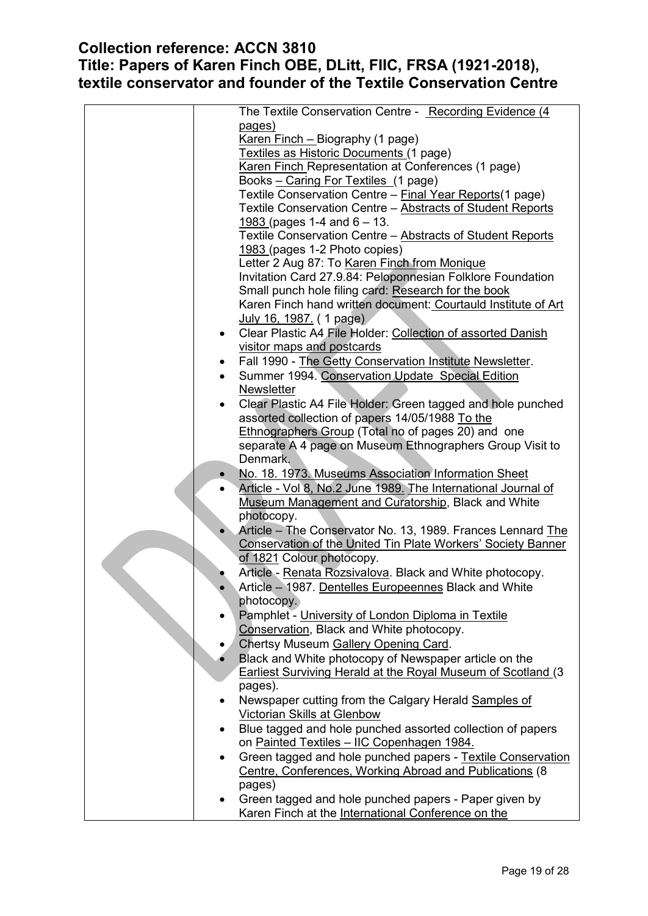| The Textile Conservation Centre - Recording Evidence (4          |
|------------------------------------------------------------------|
| pages)                                                           |
| Karen Finch - Biography (1 page)                                 |
|                                                                  |
| Textiles as Historic Documents (1 page)                          |
| Karen Finch Representation at Conferences (1 page)               |
| Books - Caring For Textiles (1 page)                             |
| Textile Conservation Centre - Final Year Reports (1 page)        |
| Textile Conservation Centre - Abstracts of Student Reports       |
|                                                                  |
| 1983 (pages 1-4 and $6 - 13$ .                                   |
| Textile Conservation Centre - Abstracts of Student Reports       |
| 1983 (pages 1-2 Photo copies)                                    |
| Letter 2 Aug 87: To Karen Finch from Monique                     |
|                                                                  |
| Invitation Card 27.9.84: Peloponnesian Folklore Foundation       |
| Small punch hole filing card: Research for the book              |
| Karen Finch hand written document: Courtauld Institute of Art    |
| July 16, 1987. (1 page)                                          |
|                                                                  |
| Clear Plastic A4 File Holder: Collection of assorted Danish      |
| visitor maps and postcards                                       |
| Fall 1990 - The Getty Conservation Institute Newsletter.         |
| Summer 1994. Conservation Update Special Edition                 |
|                                                                  |
| Newsletter                                                       |
| Clear Plastic A4 File Holder: Green tagged and hole punched      |
| assorted collection of papers 14/05/1988 To the                  |
| <b>Ethnographers Group</b> (Total no of pages 20) and one        |
|                                                                  |
| separate A 4 page on Museum Ethnographers Group Visit to         |
| Denmark.                                                         |
| No. 18. 1973. Museums Association Information Sheet<br>$\bullet$ |
| Article - Vol 8, No.2 June 1989. The International Journal of    |
|                                                                  |
| Museum Management and Curatorship, Black and White               |
| photocopy.                                                       |
| Article – The Conservator No. 13, 1989. Frances Lennard The      |
| Conservation of the United Tin Plate Workers' Society Banner     |
|                                                                  |
| of 1821 Colour photocopy.                                        |
| Article - Renata Rozsivalova. Black and White photocopy.         |
| Article – 1987. Dentelles Europeennes Black and White            |
| photocopy.                                                       |
|                                                                  |
| Pamphlet - University of London Diploma in Textile               |
| Conservation, Black and White photocopy.                         |
| Chertsy Museum Gallery Opening Card.                             |
| Black and White photocopy of Newspaper article on the            |
| Earliest Surviving Herald at the Royal Museum of Scotland (3     |
|                                                                  |
| pages).                                                          |
| Newspaper cutting from the Calgary Herald Samples of             |
| <b>Victorian Skills at Glenbow</b>                               |
|                                                                  |
| Blue tagged and hole punched assorted collection of papers       |
| on Painted Textiles - IIC Copenhagen 1984.                       |
| Green tagged and hole punched papers - Textile Conservation      |
| Centre, Conferences, Working Abroad and Publications (8)         |
| pages)                                                           |
|                                                                  |
| Green tagged and hole punched papers - Paper given by            |
| Karen Finch at the International Conference on the               |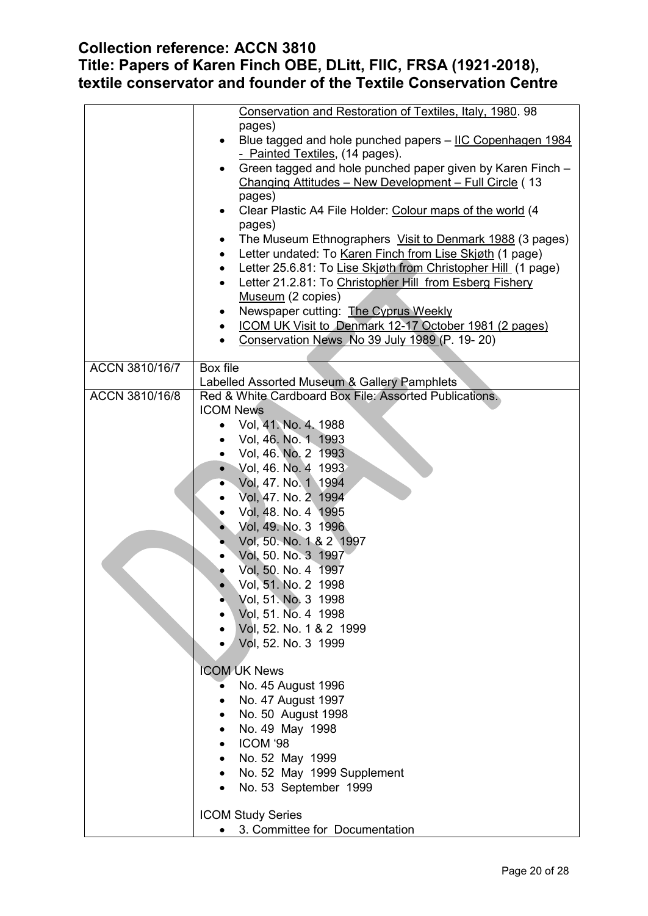|                | Conservation and Restoration of Textiles, Italy, 1980. 98<br>pages)<br>Blue tagged and hole punched papers - IIC Copenhagen 1984<br>- Painted Textiles, (14 pages).<br>Green tagged and hole punched paper given by Karen Finch -<br>Changing Attitudes - New Development - Full Circle (13<br>pages)<br>Clear Plastic A4 File Holder: Colour maps of the world (4<br>pages)<br>The Museum Ethnographers Visit to Denmark 1988 (3 pages)<br>Letter undated: To Karen Finch from Lise Skiøth (1 page)<br>Letter 25.6.81: To Lise Skiøth from Christopher Hill (1 page)<br>Letter 21.2.81: To Christopher Hill from Esberg Fishery<br>Museum (2 copies) |
|----------------|-------------------------------------------------------------------------------------------------------------------------------------------------------------------------------------------------------------------------------------------------------------------------------------------------------------------------------------------------------------------------------------------------------------------------------------------------------------------------------------------------------------------------------------------------------------------------------------------------------------------------------------------------------|
|                | Newspaper cutting: The Cyprus Weekly<br>ICOM UK Visit to Denmark 12-17 October 1981 (2 pages)                                                                                                                                                                                                                                                                                                                                                                                                                                                                                                                                                         |
|                | Conservation News No 39 July 1989 (P. 19-20)                                                                                                                                                                                                                                                                                                                                                                                                                                                                                                                                                                                                          |
| ACCN 3810/16/7 | Box file                                                                                                                                                                                                                                                                                                                                                                                                                                                                                                                                                                                                                                              |
| ACCN 3810/16/8 | Labelled Assorted Museum & Gallery Pamphlets<br>Red & White Cardboard Box File: Assorted Publications.                                                                                                                                                                                                                                                                                                                                                                                                                                                                                                                                                |
|                | <b>ICOM News</b><br>Vol, 41. No. 4. 1988<br>Vol, 46. No. 1 1993<br>Vol, 46. No. 2 1993<br>• Vol. 46. No. 4 1993<br>Vol. 47. No. 1 1994<br>Vol. 47. No. 2 1994<br>Vol, 48. No. 4 1995<br>Vol, 49. No. 3 1996<br>Vol. 50. No. 1 & 2 1997<br>Vol, 50. No. 3 1997<br>Vol, 50. No. 4 1997<br>Vol, 51. No. 2 1998<br>Vol. 51. No. 3 1998<br>Vol, 51. No. 4 1998<br>Vol, 52. No. 1 & 2 1999<br>Vol. 52. No. 3 1999                                                                                                                                                                                                                                           |
|                | <b>ICOM UK News</b><br>No. 45 August 1996<br>No. 47 August 1997<br>No. 50 August 1998<br>No. 49 May 1998<br>ICOM '98<br>No. 52 May 1999<br>No. 52 May 1999 Supplement                                                                                                                                                                                                                                                                                                                                                                                                                                                                                 |
|                | No. 53 September 1999<br><b>ICOM Study Series</b><br>3. Committee for Documentation                                                                                                                                                                                                                                                                                                                                                                                                                                                                                                                                                                   |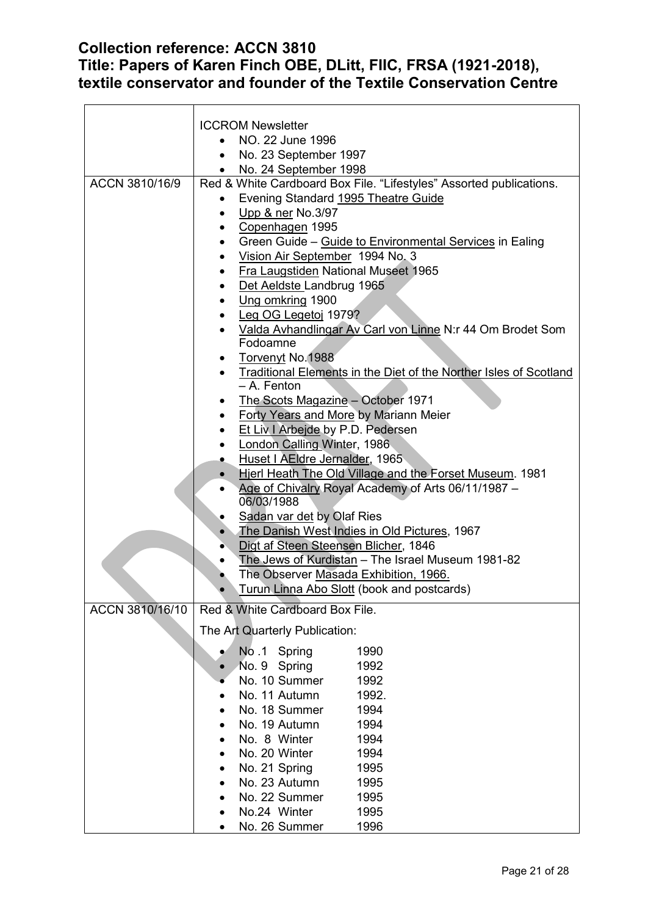|                 | <b>ICCROM Newsletter</b>                                                        |
|-----------------|---------------------------------------------------------------------------------|
|                 | NO. 22 June 1996                                                                |
|                 | No. 23 September 1997<br>$\bullet$                                              |
| ACCN 3810/16/9  | No. 24 September 1998<br>$\bullet$                                              |
|                 | Red & White Cardboard Box File. "Lifestyles" Assorted publications.             |
|                 | Evening Standard 1995 Theatre Guide<br>Upp & ner No.3/97                        |
|                 | ٠<br>Copenhagen 1995                                                            |
|                 | ٠<br>Green Guide - Guide to Environmental Services in Ealing<br>٠               |
|                 | Vision Air September 1994 No. 3                                                 |
|                 | Fra Laugstiden National Museet 1965                                             |
|                 | Det Aeldste Landbrug 1965<br>٠                                                  |
|                 | Ung omkring 1900<br>$\bullet$                                                   |
|                 | Leg OG Legetoj 1979?                                                            |
|                 | Valda Avhandlingar Av Carl von Linne N:r 44 Om Brodet Som                       |
|                 | Fodoamne                                                                        |
|                 | Torvenyt No.1988                                                                |
|                 | Traditional Elements in the Diet of the Norther Isles of Scotland               |
|                 | $-$ A. Fenton                                                                   |
|                 | The Scots Magazine - October 1971                                               |
|                 | <b>Forty Years and More by Mariann Meier</b><br>٠                               |
|                 | Et Liv I Arbeide by P.D. Pedersen                                               |
|                 | London Calling Winter, 1986<br>$\bullet$                                        |
|                 | Huset   AEldre Jernalder, 1965                                                  |
|                 | Hierl Heath The Old Village and the Forset Museum. 1981<br>$\bullet$            |
|                 | Age of Chivalry Royal Academy of Arts 06/11/1987 -<br>$\bullet$                 |
|                 | 06/03/1988                                                                      |
|                 | Sadan var det by Olaf Ries<br>٠<br>The Danish West Indies in Old Pictures, 1967 |
|                 | Digt af Steen Steensen Blicher, 1846                                            |
|                 | The Jews of Kurdistan - The Israel Museum 1981-82<br>٠                          |
|                 | The Observer Masada Exhibition, 1966.                                           |
|                 | Turun Linna Abo Slott (book and postcards)                                      |
|                 |                                                                                 |
| ACCN 3810/16/10 | Red & White Cardboard Box File.                                                 |
|                 | The Art Quarterly Publication:                                                  |
|                 | No.1 Spring<br>1990                                                             |
|                 | No. 9 Spring<br>1992                                                            |
|                 | No. 10 Summer<br>1992                                                           |
|                 | No. 11 Autumn<br>1992.                                                          |
|                 | No. 18 Summer<br>1994                                                           |
|                 | No. 19 Autumn<br>1994                                                           |
|                 | No. 8 Winter<br>1994                                                            |
|                 | No. 20 Winter<br>1994<br>$\bullet$                                              |
|                 | No. 21 Spring<br>1995<br>٠                                                      |
|                 | No. 23 Autumn<br>1995<br>$\bullet$                                              |
|                 | No. 22 Summer<br>1995                                                           |
|                 | No.24 Winter<br>1995                                                            |
|                 | No. 26 Summer<br>1996                                                           |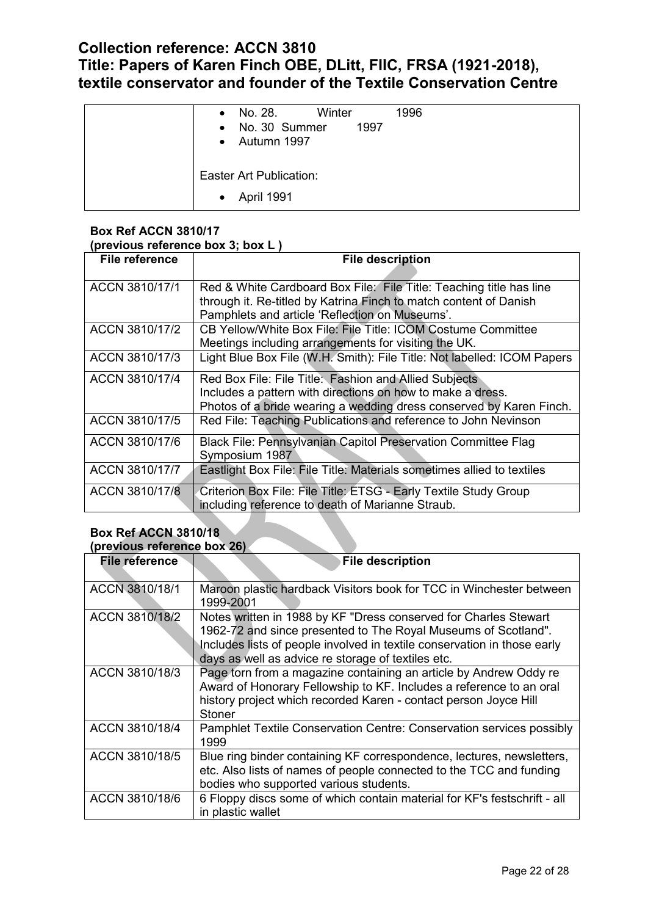| $\bullet$ | No. 28.<br>• No. 30 Summer<br>Autumn 1997 | Winter<br>1997 | 1996 |
|-----------|-------------------------------------------|----------------|------|
|           | Easter Art Publication:                   |                |      |
|           | <b>April 1991</b>                         |                |      |

#### **Box Ref ACCN 3810/17 (previous reference box 3; box L )**

| <b>File reference</b> | <b>File description</b>                                                 |
|-----------------------|-------------------------------------------------------------------------|
|                       |                                                                         |
| ACCN 3810/17/1        | Red & White Cardboard Box File: File Title: Teaching title has line     |
|                       | through it. Re-titled by Katrina Finch to match content of Danish       |
|                       | Pamphlets and article 'Reflection on Museums'.                          |
| ACCN 3810/17/2        | CB Yellow/White Box File: File Title: ICOM Costume Committee            |
|                       | Meetings including arrangements for visiting the UK.                    |
| ACCN 3810/17/3        | Light Blue Box File (W.H. Smith): File Title: Not labelled: ICOM Papers |
| ACCN 3810/17/4        | Red Box File: File Title: Fashion and Allied Subjects                   |
|                       | Includes a pattern with directions on how to make a dress.              |
|                       | Photos of a bride wearing a wedding dress conserved by Karen Finch.     |
| ACCN 3810/17/5        | Red File: Teaching Publications and reference to John Nevinson          |
| ACCN 3810/17/6        | Black File: Pennsylvanian Capitol Preservation Committee Flag           |
|                       | Symposium 1987                                                          |
| ACCN 3810/17/7        | Eastlight Box File: File Title: Materials sometimes allied to textiles  |
| ACCN 3810/17/8        | Criterion Box File: File Title: ETSG - Early Textile Study Group        |
|                       | including reference to death of Marianne Straub.                        |

#### **Box Ref ACCN 3810/18 (previous reference box 26)**

| <b>PIC VIOUS TOTOLOGIC DOA EU</b> |                                                                                                                                                                                                                                                                      |
|-----------------------------------|----------------------------------------------------------------------------------------------------------------------------------------------------------------------------------------------------------------------------------------------------------------------|
| File reference                    | <b>File description</b>                                                                                                                                                                                                                                              |
| ACCN 3810/18/1                    | Maroon plastic hardback Visitors book for TCC in Winchester between<br>1999-2001                                                                                                                                                                                     |
| ACCN 3810/18/2                    | Notes written in 1988 by KF "Dress conserved for Charles Stewart<br>1962-72 and since presented to The Royal Museums of Scotland".<br>Includes lists of people involved in textile conservation in those early<br>days as well as advice re storage of textiles etc. |
| ACCN 3810/18/3                    | Page torn from a magazine containing an article by Andrew Oddy re<br>Award of Honorary Fellowship to KF. Includes a reference to an oral<br>history project which recorded Karen - contact person Joyce Hill<br>Stoner                                               |
| ACCN 3810/18/4                    | Pamphlet Textile Conservation Centre: Conservation services possibly<br>1999                                                                                                                                                                                         |
| ACCN 3810/18/5                    | Blue ring binder containing KF correspondence, lectures, newsletters,<br>etc. Also lists of names of people connected to the TCC and funding<br>bodies who supported various students.                                                                               |
| ACCN 3810/18/6                    | 6 Floppy discs some of which contain material for KF's festschrift - all<br>in plastic wallet                                                                                                                                                                        |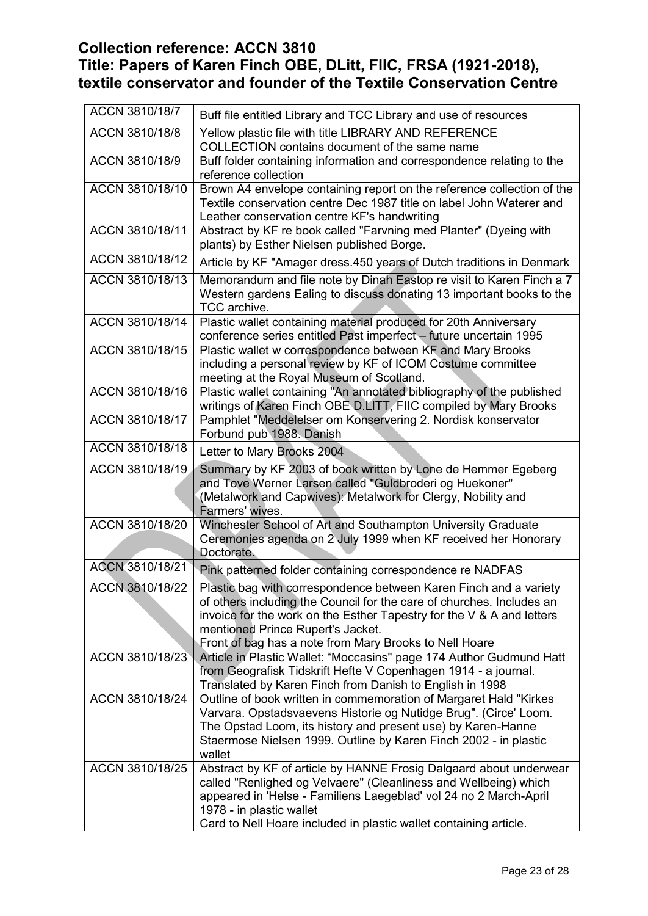| ACCN 3810/18/7         | Buff file entitled Library and TCC Library and use of resources                                                                                                                                                                                                                                                    |
|------------------------|--------------------------------------------------------------------------------------------------------------------------------------------------------------------------------------------------------------------------------------------------------------------------------------------------------------------|
| ACCN 3810/18/8         | Yellow plastic file with title LIBRARY AND REFERENCE<br>COLLECTION contains document of the same name                                                                                                                                                                                                              |
| ACCN 3810/18/9         | Buff folder containing information and correspondence relating to the<br>reference collection                                                                                                                                                                                                                      |
| ACCN 3810/18/10        | Brown A4 envelope containing report on the reference collection of the<br>Textile conservation centre Dec 1987 title on label John Waterer and<br>Leather conservation centre KF's handwriting                                                                                                                     |
| ACCN 3810/18/11        | Abstract by KF re book called "Farvning med Planter" (Dyeing with<br>plants) by Esther Nielsen published Borge.                                                                                                                                                                                                    |
| ACCN 3810/18/12        | Article by KF "Amager dress.450 years of Dutch traditions in Denmark                                                                                                                                                                                                                                               |
| ACCN 3810/18/13        | Memorandum and file note by Dinah Eastop re visit to Karen Finch a 7<br>Western gardens Ealing to discuss donating 13 important books to the<br>TCC archive.                                                                                                                                                       |
| ACCN 3810/18/14        | Plastic wallet containing material produced for 20th Anniversary<br>conference series entitled Past imperfect - future uncertain 1995                                                                                                                                                                              |
| ACCN 3810/18/15        | Plastic wallet w correspondence between KF and Mary Brooks<br>including a personal review by KF of ICOM Costume committee<br>meeting at the Royal Museum of Scotland.                                                                                                                                              |
| ACCN 3810/18/16        | Plastic wallet containing "An annotated bibliography of the published<br>writings of Karen Finch OBE D.LITT, FIIC compiled by Mary Brooks                                                                                                                                                                          |
| ACCN 3810/18/17        | Pamphlet "Meddelelser om Konservering 2. Nordisk konservator<br>Forbund pub 1988. Danish                                                                                                                                                                                                                           |
| ACCN 3810/18/18        | Letter to Mary Brooks 2004                                                                                                                                                                                                                                                                                         |
| ACCN 3810/18/19        | Summary by KF 2003 of book written by Lone de Hemmer Egeberg<br>and Tove Werner Larsen called "Guldbroderi og Huekoner"<br>(Metalwork and Capwives): Metalwork for Clergy, Nobility and<br>Farmers' wives.                                                                                                         |
| ACCN 3810/18/20        | Winchester School of Art and Southampton University Graduate<br>Ceremonies agenda on 2 July 1999 when KF received her Honorary<br>Doctorate.                                                                                                                                                                       |
| ACCN 3810/18/21        | Pink patterned folder containing correspondence re NADFAS                                                                                                                                                                                                                                                          |
| <b>ACCN 3810/18/22</b> | Plastic bag with correspondence between Karen Finch and a variety<br>of others including the Council for the care of churches. Includes an<br>invoice for the work on the Esther Tapestry for the V & A and letters<br>mentioned Prince Rupert's Jacket.<br>Front of bag has a note from Mary Brooks to Nell Hoare |
| ACCN 3810/18/23        | Article in Plastic Wallet: "Moccasins" page 174 Author Gudmund Hatt<br>from Geografisk Tidskrift Hefte V Copenhagen 1914 - a journal.<br>Translated by Karen Finch from Danish to English in 1998                                                                                                                  |
| ACCN 3810/18/24        | Outline of book written in commemoration of Margaret Hald "Kirkes"<br>Varvara. Opstadsvaevens Historie og Nutidge Brug". (Circe' Loom.<br>The Opstad Loom, its history and present use) by Karen-Hanne<br>Staermose Nielsen 1999. Outline by Karen Finch 2002 - in plastic<br>wallet                               |
| ACCN 3810/18/25        | Abstract by KF of article by HANNE Frosig Dalgaard about underwear<br>called "Renlighed og Velvaere" (Cleanliness and Wellbeing) which<br>appeared in 'Helse - Familiens Laegeblad' vol 24 no 2 March-April<br>1978 - in plastic wallet<br>Card to Nell Hoare included in plastic wallet containing article.       |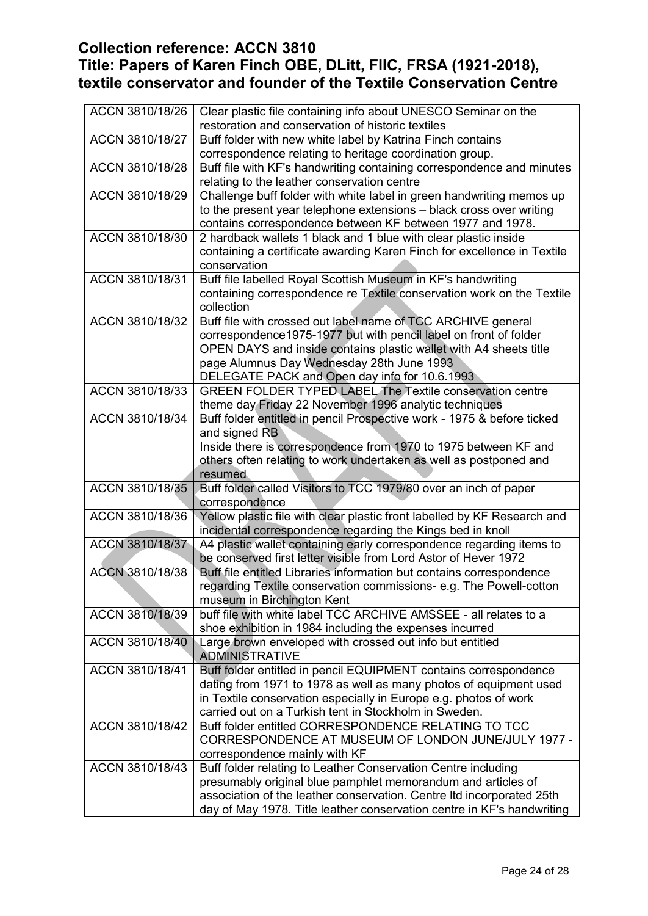| ACCN 3810/18/26 | Clear plastic file containing info about UNESCO Seminar on the                                                                  |
|-----------------|---------------------------------------------------------------------------------------------------------------------------------|
|                 | restoration and conservation of historic textiles                                                                               |
| ACCN 3810/18/27 | Buff folder with new white label by Katrina Finch contains<br>correspondence relating to heritage coordination group.           |
| ACCN 3810/18/28 | Buff file with KF's handwriting containing correspondence and minutes                                                           |
|                 | relating to the leather conservation centre                                                                                     |
| ACCN 3810/18/29 | Challenge buff folder with white label in green handwriting memos up                                                            |
|                 | to the present year telephone extensions - black cross over writing                                                             |
|                 | contains correspondence between KF between 1977 and 1978.                                                                       |
| ACCN 3810/18/30 | 2 hardback wallets 1 black and 1 blue with clear plastic inside                                                                 |
|                 | containing a certificate awarding Karen Finch for excellence in Textile                                                         |
|                 | conservation                                                                                                                    |
| ACCN 3810/18/31 | Buff file labelled Royal Scottish Museum in KF's handwriting                                                                    |
|                 | containing correspondence re Textile conservation work on the Textile                                                           |
|                 | collection                                                                                                                      |
| ACCN 3810/18/32 | Buff file with crossed out label name of TCC ARCHIVE general                                                                    |
|                 | correspondence1975-1977 but with pencil label on front of folder                                                                |
|                 | OPEN DAYS and inside contains plastic wallet with A4 sheets title                                                               |
|                 | page Alumnus Day Wednesday 28th June 1993                                                                                       |
|                 | DELEGATE PACK and Open day info for 10.6.1993                                                                                   |
| ACCN 3810/18/33 | <b>GREEN FOLDER TYPED LABEL The Textile conservation centre</b>                                                                 |
| ACCN 3810/18/34 | theme day Friday 22 November 1996 analytic techniques<br>Buff folder entitled in pencil Prospective work - 1975 & before ticked |
|                 | and signed RB                                                                                                                   |
|                 | Inside there is correspondence from 1970 to 1975 between KF and                                                                 |
|                 | others often relating to work undertaken as well as postponed and                                                               |
|                 | resumed                                                                                                                         |
| ACCN 3810/18/35 | Buff folder called Visitors to TCC 1979/80 over an inch of paper                                                                |
|                 | correspondence                                                                                                                  |
| ACCN 3810/18/36 | Yellow plastic file with clear plastic front labelled by KF Research and                                                        |
|                 | incidental correspondence regarding the Kings bed in knoll                                                                      |
| ACCN 3810/18/37 | A4 plastic wallet containing early correspondence regarding items to                                                            |
|                 | be conserved first letter visible from Lord Astor of Hever 1972                                                                 |
| ACCN 3810/18/38 | Buff file entitled Libraries information but contains correspondence                                                            |
|                 | regarding Textile conservation commissions-e.g. The Powell-cotton                                                               |
|                 | museum in Birchington Kent                                                                                                      |
| ACCN 3810/18/39 | buff file with white label TCC ARCHIVE AMSSEE - all relates to a                                                                |
| ACCN 3810/18/40 | shoe exhibition in 1984 including the expenses incurred                                                                         |
|                 | Large brown enveloped with crossed out info but entitled<br><b>ADMINISTRATIVE</b>                                               |
| ACCN 3810/18/41 | Buff folder entitled in pencil EQUIPMENT contains correspondence                                                                |
|                 | dating from 1971 to 1978 as well as many photos of equipment used                                                               |
|                 | in Textile conservation especially in Europe e.g. photos of work                                                                |
|                 | carried out on a Turkish tent in Stockholm in Sweden.                                                                           |
| ACCN 3810/18/42 | Buff folder entitled CORRESPONDENCE RELATING TO TCC                                                                             |
|                 | CORRESPONDENCE AT MUSEUM OF LONDON JUNE/JULY 1977 -                                                                             |
|                 | correspondence mainly with KF                                                                                                   |
| ACCN 3810/18/43 | Buff folder relating to Leather Conservation Centre including                                                                   |
|                 | presumably original blue pamphlet memorandum and articles of                                                                    |
|                 | association of the leather conservation. Centre Itd incorporated 25th                                                           |
|                 | day of May 1978. Title leather conservation centre in KF's handwriting                                                          |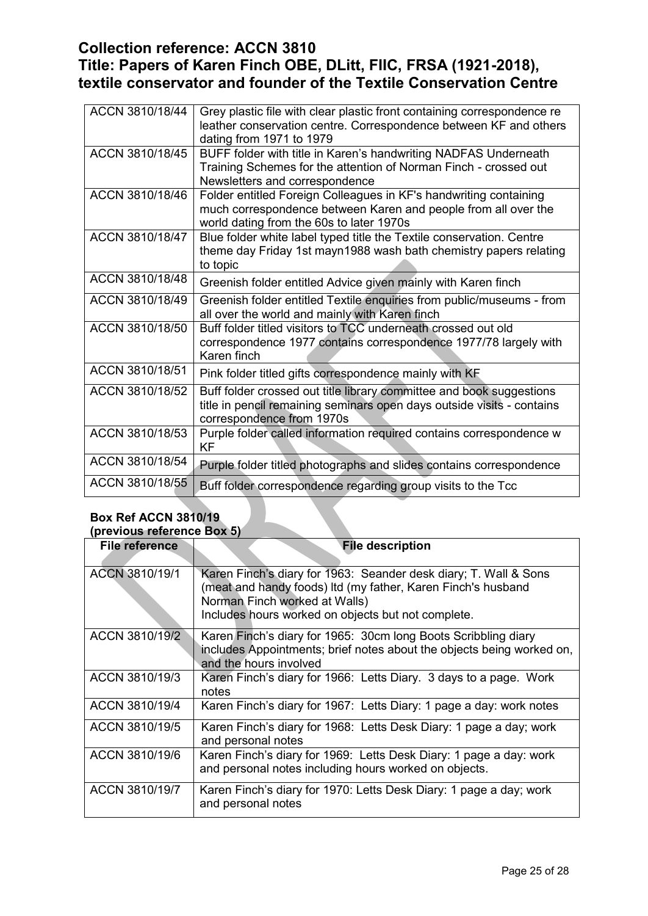| ACCN 3810/18/44 | Grey plastic file with clear plastic front containing correspondence re<br>leather conservation centre. Correspondence between KF and others<br>dating from 1971 to 1979        |
|-----------------|---------------------------------------------------------------------------------------------------------------------------------------------------------------------------------|
| ACCN 3810/18/45 | BUFF folder with title in Karen's handwriting NADFAS Underneath<br>Training Schemes for the attention of Norman Finch - crossed out<br>Newsletters and correspondence           |
| ACCN 3810/18/46 | Folder entitled Foreign Colleagues in KF's handwriting containing<br>much correspondence between Karen and people from all over the<br>world dating from the 60s to later 1970s |
| ACCN 3810/18/47 | Blue folder white label typed title the Textile conservation. Centre<br>theme day Friday 1st mayn1988 wash bath chemistry papers relating<br>to topic                           |
| ACCN 3810/18/48 | Greenish folder entitled Advice given mainly with Karen finch                                                                                                                   |
| ACCN 3810/18/49 | Greenish folder entitled Textile enquiries from public/museums - from<br>all over the world and mainly with Karen finch                                                         |
| ACCN 3810/18/50 | Buff folder titled visitors to TCC underneath crossed out old<br>correspondence 1977 contains correspondence 1977/78 largely with<br>Karen finch                                |
| ACCN 3810/18/51 | Pink folder titled gifts correspondence mainly with KF                                                                                                                          |
| ACCN 3810/18/52 | Buff folder crossed out title library committee and book suggestions<br>title in pencil remaining seminars open days outside visits - contains<br>correspondence from 1970s     |
| ACCN 3810/18/53 | Purple folder called information required contains correspondence w<br><b>KF</b>                                                                                                |
| ACCN 3810/18/54 | Purple folder titled photographs and slides contains correspondence                                                                                                             |
| ACCN 3810/18/55 | Buff folder correspondence regarding group visits to the Tcc                                                                                                                    |

#### **Box Ref ACCN 3810/19 (previous reference Box 5)**

| <b>File reference</b> | <b>File description</b>                                                                                                                                                                                                 |
|-----------------------|-------------------------------------------------------------------------------------------------------------------------------------------------------------------------------------------------------------------------|
|                       |                                                                                                                                                                                                                         |
| ACCN 3810/19/1        | Karen Finch's diary for 1963: Seander desk diary; T. Wall & Sons<br>(meat and handy foods) Itd (my father, Karen Finch's husband<br>Norman Finch worked at Walls)<br>Includes hours worked on objects but not complete. |
| ACCN 3810/19/2        | Karen Finch's diary for 1965: 30cm long Boots Scribbling diary<br>includes Appointments; brief notes about the objects being worked on,<br>and the hours involved                                                       |
| ACCN 3810/19/3        | Karen Finch's diary for 1966: Letts Diary. 3 days to a page. Work<br>notes                                                                                                                                              |
| ACCN 3810/19/4        | Karen Finch's diary for 1967: Letts Diary: 1 page a day: work notes                                                                                                                                                     |
| ACCN 3810/19/5        | Karen Finch's diary for 1968: Letts Desk Diary: 1 page a day; work<br>and personal notes                                                                                                                                |
| ACCN 3810/19/6        | Karen Finch's diary for 1969: Letts Desk Diary: 1 page a day: work<br>and personal notes including hours worked on objects.                                                                                             |
| ACCN 3810/19/7        | Karen Finch's diary for 1970: Letts Desk Diary: 1 page a day; work<br>and personal notes                                                                                                                                |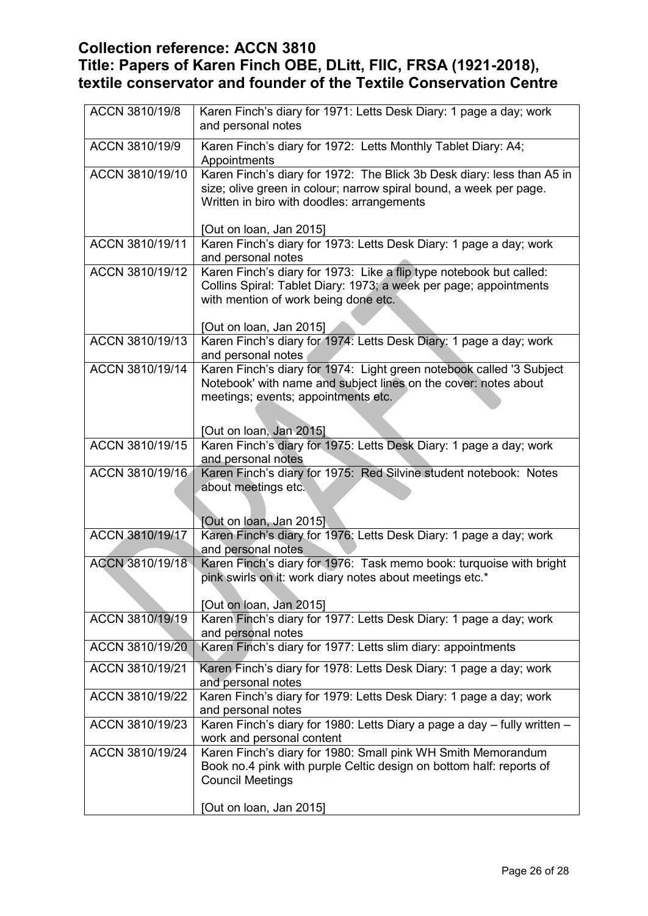| ACCN 3810/19/8        | Karen Finch's diary for 1971: Letts Desk Diary: 1 page a day; work<br>and personal notes                                                                                                   |
|-----------------------|--------------------------------------------------------------------------------------------------------------------------------------------------------------------------------------------|
| <b>ACCN 3810/19/9</b> | Karen Finch's diary for 1972: Letts Monthly Tablet Diary: A4;<br>Appointments                                                                                                              |
| ACCN 3810/19/10       | Karen Finch's diary for 1972: The Blick 3b Desk diary: less than A5 in<br>size; olive green in colour; narrow spiral bound, a week per page.<br>Written in biro with doodles: arrangements |
| ACCN 3810/19/11       | [Out on loan, Jan 2015]<br>Karen Finch's diary for 1973: Letts Desk Diary: 1 page a day; work<br>and personal notes                                                                        |
| ACCN 3810/19/12       | Karen Finch's diary for 1973: Like a flip type notebook but called:<br>Collins Spiral: Tablet Diary: 1973; a week per page; appointments<br>with mention of work being done etc.           |
|                       | [Out on loan, Jan 2015]                                                                                                                                                                    |
| ACCN 3810/19/13       | Karen Finch's diary for 1974: Letts Desk Diary: 1 page a day; work<br>and personal notes                                                                                                   |
| ACCN 3810/19/14       | Karen Finch's diary for 1974: Light green notebook called '3 Subject<br>Notebook' with name and subject lines on the cover: notes about<br>meetings; events; appointments etc.             |
|                       | [Out on loan, Jan 2015]                                                                                                                                                                    |
| ACCN 3810/19/15       | Karen Finch's diary for 1975: Letts Desk Diary: 1 page a day; work<br>and personal notes                                                                                                   |
| ACCN 3810/19/16       | Karen Finch's diary for 1975: Red Silvine student notebook: Notes<br>about meetings etc.<br>[Out on loan, Jan 2015]                                                                        |
| ACCN 3810/19/17       | Karen Finch's diary for 1976: Letts Desk Diary: 1 page a day; work<br>and personal notes                                                                                                   |
| ACCN 3810/19/18       | Karen Finch's diary for 1976: Task memo book: turquoise with bright<br>pink swirls on it: work diary notes about meetings etc.*                                                            |
|                       | [Out on loan, Jan 2015]                                                                                                                                                                    |
| ACCN 3810/19/19       | Karen Finch's diary for 1977: Letts Desk Diary: 1 page a day; work<br>and personal notes                                                                                                   |
| ACCN 3810/19/20       | Karen Finch's diary for 1977: Letts slim diary: appointments                                                                                                                               |
| ACCN 3810/19/21       | Karen Finch's diary for 1978: Letts Desk Diary: 1 page a day; work<br>and personal notes                                                                                                   |
| ACCN 3810/19/22       | Karen Finch's diary for 1979: Letts Desk Diary: 1 page a day; work<br>and personal notes                                                                                                   |
| ACCN 3810/19/23       | Karen Finch's diary for 1980: Letts Diary a page a day - fully written -<br>work and personal content                                                                                      |
| ACCN 3810/19/24       | Karen Finch's diary for 1980: Small pink WH Smith Memorandum<br>Book no.4 pink with purple Celtic design on bottom half: reports of<br><b>Council Meetings</b>                             |
|                       | [Out on loan, Jan 2015]                                                                                                                                                                    |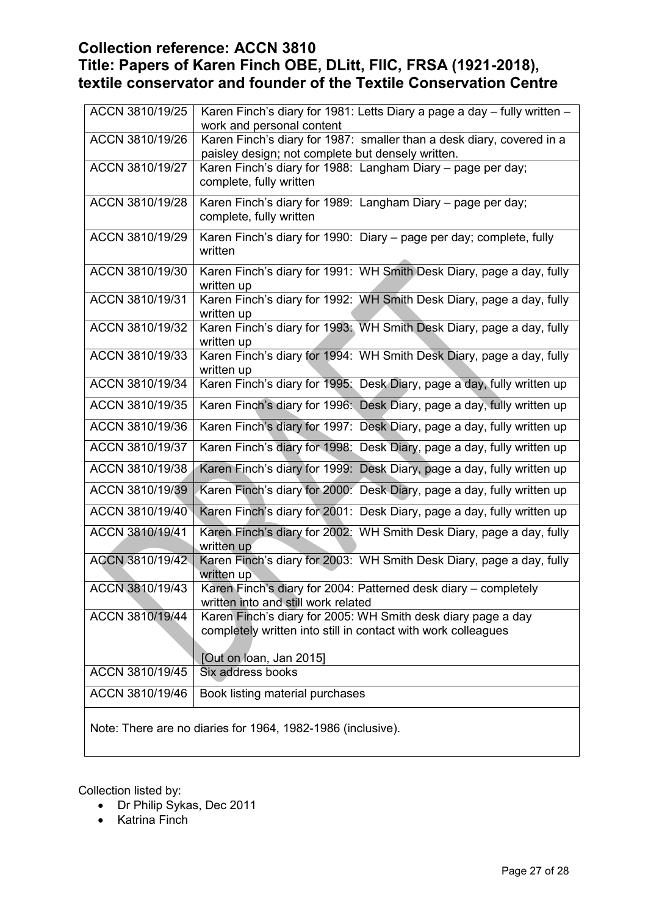| ACCN 3810/19/25                                             | Karen Finch's diary for 1981: Letts Diary a page a day - fully written -<br>work and personal content                         |  |
|-------------------------------------------------------------|-------------------------------------------------------------------------------------------------------------------------------|--|
| ACCN 3810/19/26                                             | Karen Finch's diary for 1987: smaller than a desk diary, covered in a<br>paisley design; not complete but densely written.    |  |
| ACCN 3810/19/27                                             | Karen Finch's diary for 1988: Langham Diary - page per day;<br>complete, fully written                                        |  |
| ACCN 3810/19/28                                             | Karen Finch's diary for 1989: Langham Diary - page per day;<br>complete, fully written                                        |  |
| ACCN 3810/19/29                                             | Karen Finch's diary for 1990: Diary - page per day; complete, fully<br>written                                                |  |
| ACCN 3810/19/30                                             | Karen Finch's diary for 1991: WH Smith Desk Diary, page a day, fully<br>written up                                            |  |
| ACCN 3810/19/31                                             | Karen Finch's diary for 1992: WH Smith Desk Diary, page a day, fully<br>written up                                            |  |
| ACCN 3810/19/32                                             | Karen Finch's diary for 1993: WH Smith Desk Diary, page a day, fully<br>written up                                            |  |
| ACCN 3810/19/33                                             | Karen Finch's diary for 1994: WH Smith Desk Diary, page a day, fully<br>written up                                            |  |
| ACCN 3810/19/34                                             | Karen Finch's diary for 1995: Desk Diary, page a day, fully written up                                                        |  |
| ACCN 3810/19/35                                             | Karen Finch's diary for 1996: Desk Diary, page a day, fully written up                                                        |  |
| ACCN 3810/19/36                                             | Karen Finch's diary for 1997: Desk Diary, page a day, fully written up                                                        |  |
| ACCN 3810/19/37                                             | Karen Finch's diary for 1998: Desk Diary, page a day, fully written up                                                        |  |
| ACCN 3810/19/38                                             | Karen Finch's diary for 1999: Desk Diary, page a day, fully written up                                                        |  |
| ACCN 3810/19/39                                             | Karen Finch's diary for 2000: Desk Diary, page a day, fully written up                                                        |  |
| ACCN 3810/19/40                                             | Karen Finch's diary for 2001: Desk Diary, page a day, fully written up                                                        |  |
| ACCN 3810/19/41                                             | Karen Finch's diary for 2002: WH Smith Desk Diary, page a day, fully<br>written up                                            |  |
| ACCN 3810/19/42                                             | Karen Finch's diary for 2003: WH Smith Desk Diary, page a day, fully<br>written up                                            |  |
| ACCN 3810/19/43                                             | Karen Finch's diary for 2004: Patterned desk diary - completely<br>written into and still work related                        |  |
| ACCN 3810/19/44                                             | Karen Finch's diary for 2005: WH Smith desk diary page a day<br>completely written into still in contact with work colleagues |  |
|                                                             |                                                                                                                               |  |
| ACCN 3810/19/45                                             | [Out on loan, Jan 2015]<br>Six address books                                                                                  |  |
| ACCN 3810/19/46                                             |                                                                                                                               |  |
|                                                             | Book listing material purchases                                                                                               |  |
| Note: There are no diaries for 1964, 1982-1986 (inclusive). |                                                                                                                               |  |

Collection listed by:

 $\mathbf{I}$ 

- Dr Philip Sykas, Dec 2011
- Katrina Finch